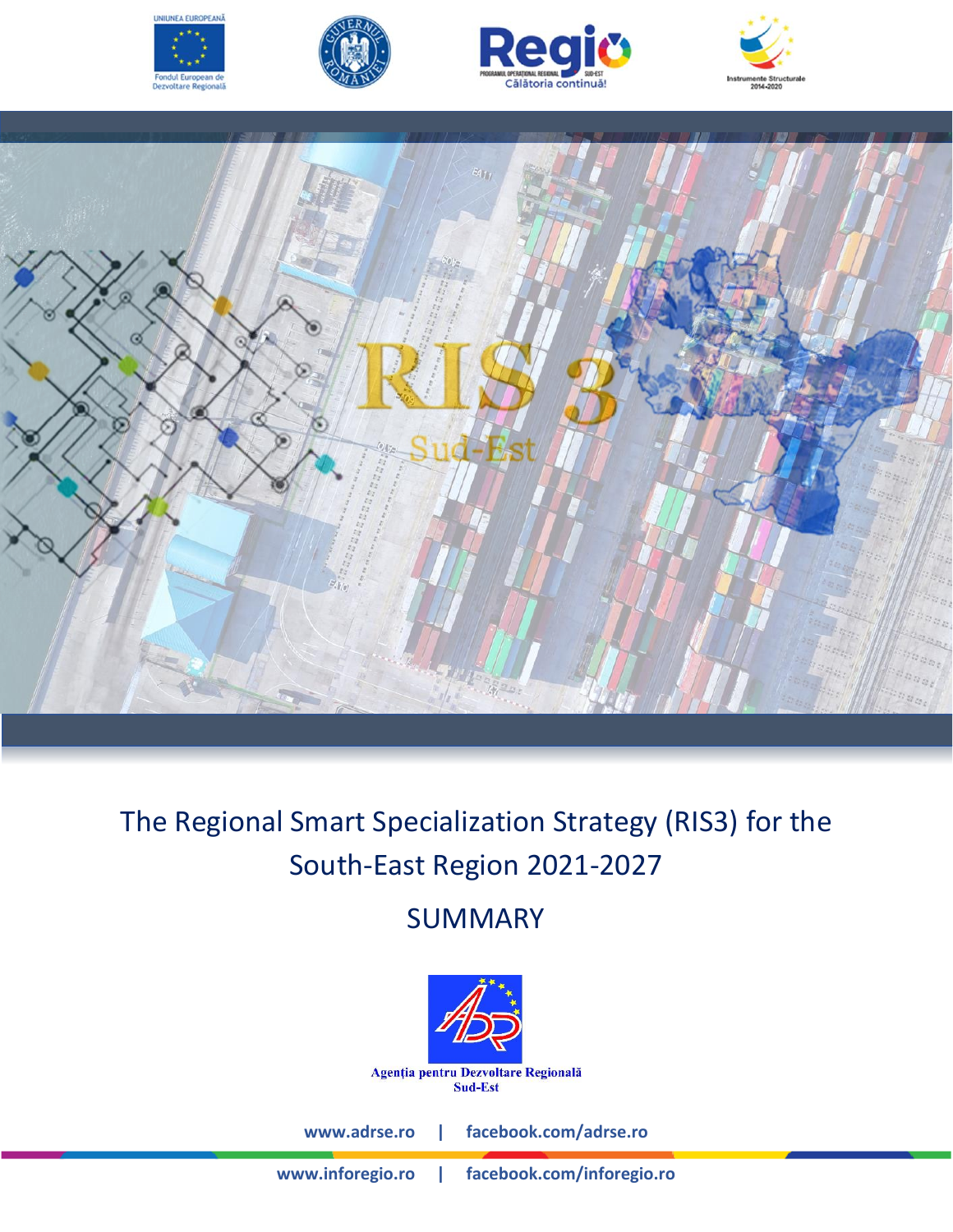









# The Regional Smart Specialization Strategy (RIS3) for the South-East Region 2021-2027

# SUMMARY



**[www.adrse.ro](http://www.adrse.ro/) | facebook.com/adrse.ro**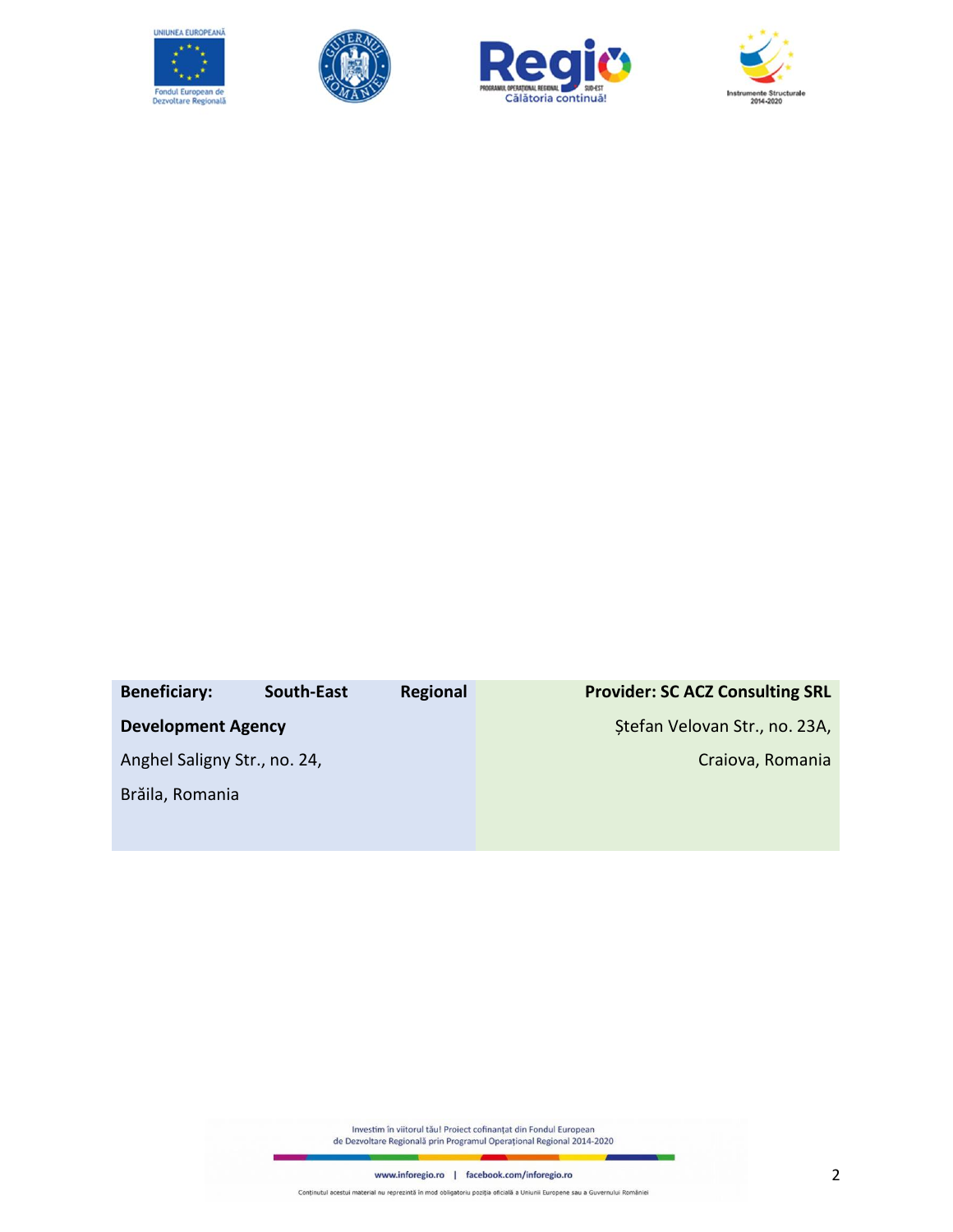







### **Beneficiary: South-East Regional Development Agency**  Anghel Saligny Str., no. 24, Brăila, Romania **Provider: SC ACZ Consulting SRL**  Ștefan Velovan Str., no. 23A, Craiova, Romania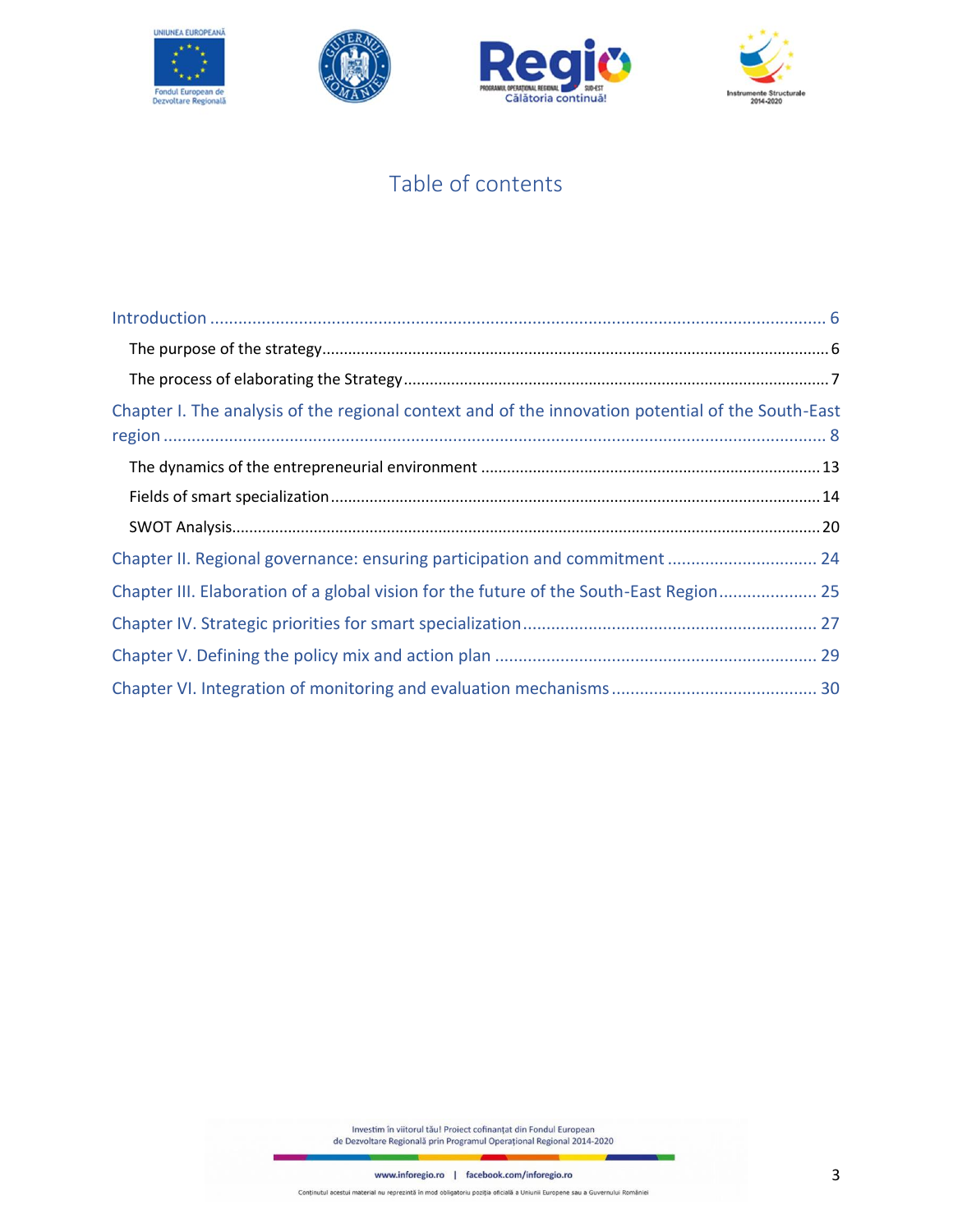







# Table of contents

| Chapter I. The analysis of the regional context and of the innovation potential of the South-East |
|---------------------------------------------------------------------------------------------------|
|                                                                                                   |
|                                                                                                   |
|                                                                                                   |
| Chapter II. Regional governance: ensuring participation and commitment  24                        |
| Chapter III. Elaboration of a global vision for the future of the South-East Region 25            |
|                                                                                                   |
|                                                                                                   |
|                                                                                                   |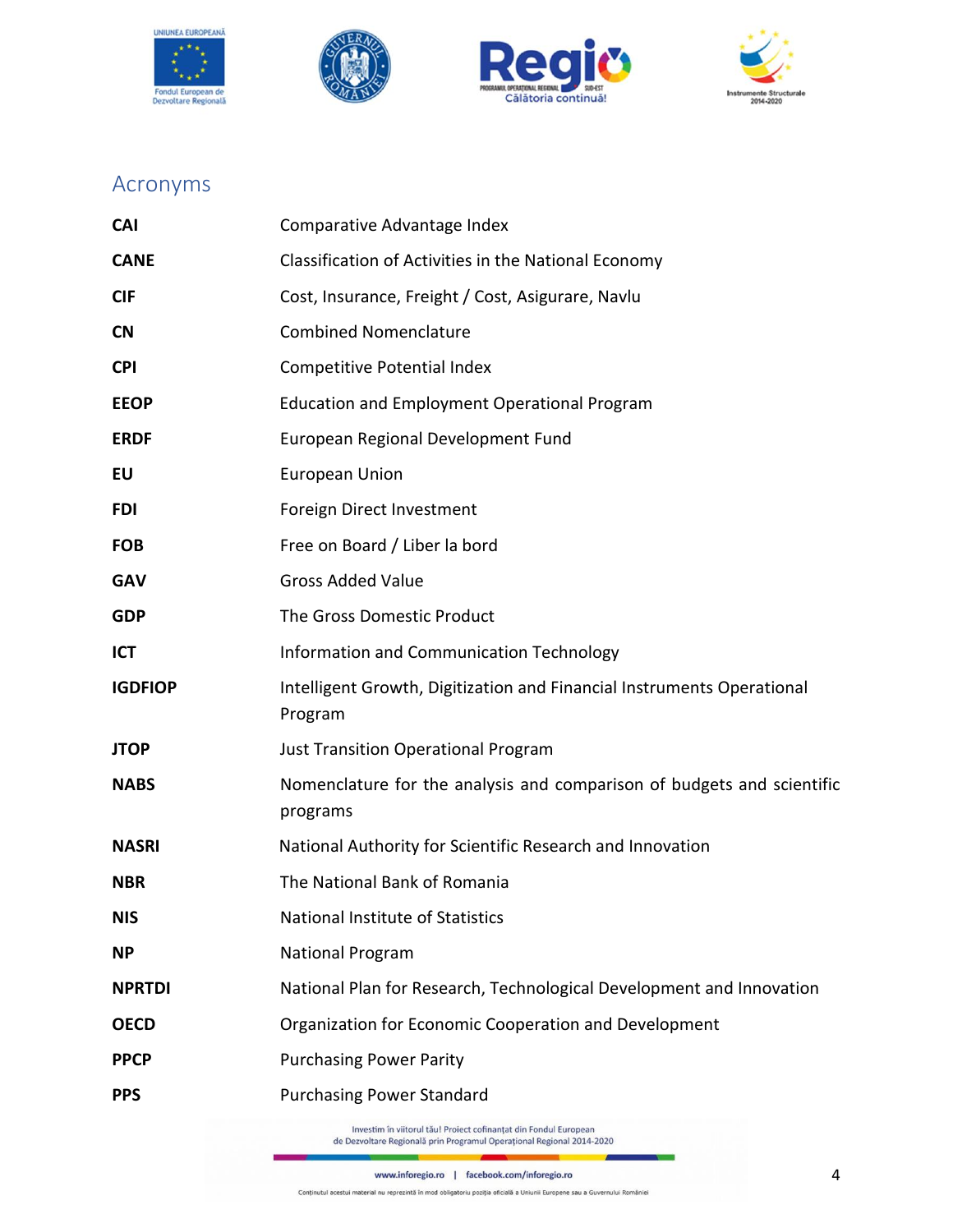







# Acronyms

| <b>CAI</b>     | Comparative Advantage Index                                                                                                               |  |
|----------------|-------------------------------------------------------------------------------------------------------------------------------------------|--|
| <b>CANE</b>    | Classification of Activities in the National Economy                                                                                      |  |
| <b>CIF</b>     | Cost, Insurance, Freight / Cost, Asigurare, Navlu                                                                                         |  |
| <b>CN</b>      | <b>Combined Nomenclature</b>                                                                                                              |  |
| <b>CPI</b>     | Competitive Potential Index                                                                                                               |  |
| <b>EEOP</b>    | <b>Education and Employment Operational Program</b>                                                                                       |  |
| <b>ERDF</b>    | European Regional Development Fund                                                                                                        |  |
| EU             | <b>European Union</b>                                                                                                                     |  |
| <b>FDI</b>     | Foreign Direct Investment                                                                                                                 |  |
| <b>FOB</b>     | Free on Board / Liber la bord                                                                                                             |  |
| <b>GAV</b>     | <b>Gross Added Value</b>                                                                                                                  |  |
| <b>GDP</b>     | The Gross Domestic Product                                                                                                                |  |
| ICT            | Information and Communication Technology                                                                                                  |  |
| <b>IGDFIOP</b> | Intelligent Growth, Digitization and Financial Instruments Operational<br>Program                                                         |  |
| <b>JTOP</b>    | <b>Just Transition Operational Program</b>                                                                                                |  |
| <b>NABS</b>    | Nomenclature for the analysis and comparison of budgets and scientific<br>programs                                                        |  |
| <b>NASRI</b>   | National Authority for Scientific Research and Innovation                                                                                 |  |
| <b>NBR</b>     | The National Bank of Romania                                                                                                              |  |
| NIS            | National Institute of Statistics                                                                                                          |  |
| <b>NP</b>      | <b>National Program</b>                                                                                                                   |  |
| <b>NPRTDI</b>  | National Plan for Research, Technological Development and Innovation                                                                      |  |
| <b>OECD</b>    | Organization for Economic Cooperation and Development                                                                                     |  |
| <b>PPCP</b>    | <b>Purchasing Power Parity</b>                                                                                                            |  |
| <b>PPS</b>     | <b>Purchasing Power Standard</b>                                                                                                          |  |
|                | Investim în viitorul tău! Proiect cofinanțat din Fondul European<br>de Dezvoltare Regională prin Programul Operațional Regional 2014-2020 |  |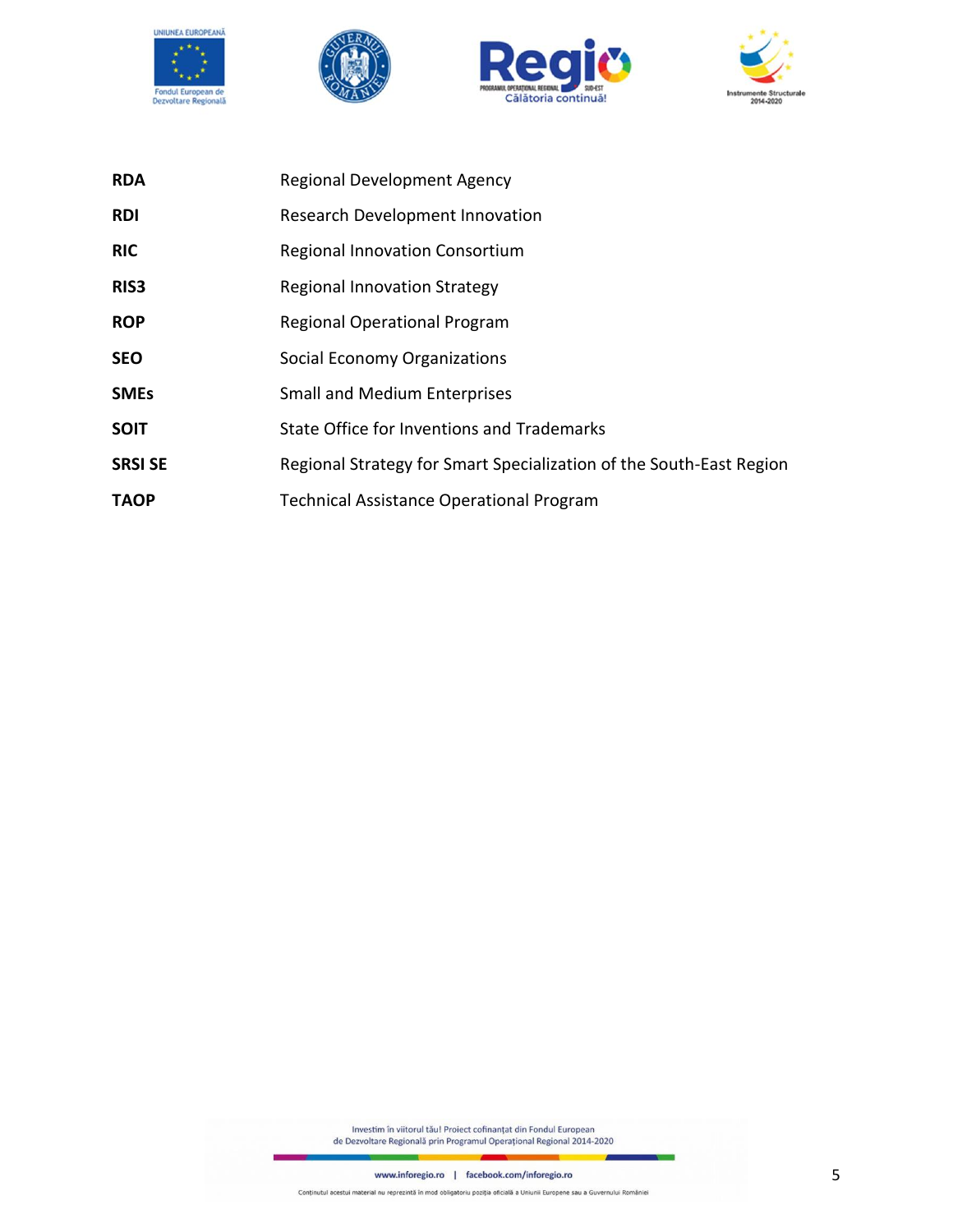







| <b>RDA</b>       | <b>Regional Development Agency</b>                                  |
|------------------|---------------------------------------------------------------------|
| <b>RDI</b>       | Research Development Innovation                                     |
| <b>RIC</b>       | Regional Innovation Consortium                                      |
| RIS <sub>3</sub> | Regional Innovation Strategy                                        |
| <b>ROP</b>       | <b>Regional Operational Program</b>                                 |
| <b>SEO</b>       | Social Economy Organizations                                        |
| <b>SMEs</b>      | <b>Small and Medium Enterprises</b>                                 |
| <b>SOIT</b>      | State Office for Inventions and Trademarks                          |
| <b>SRSI SE</b>   | Regional Strategy for Smart Specialization of the South-East Region |
| <b>TAOP</b>      | <b>Technical Assistance Operational Program</b>                     |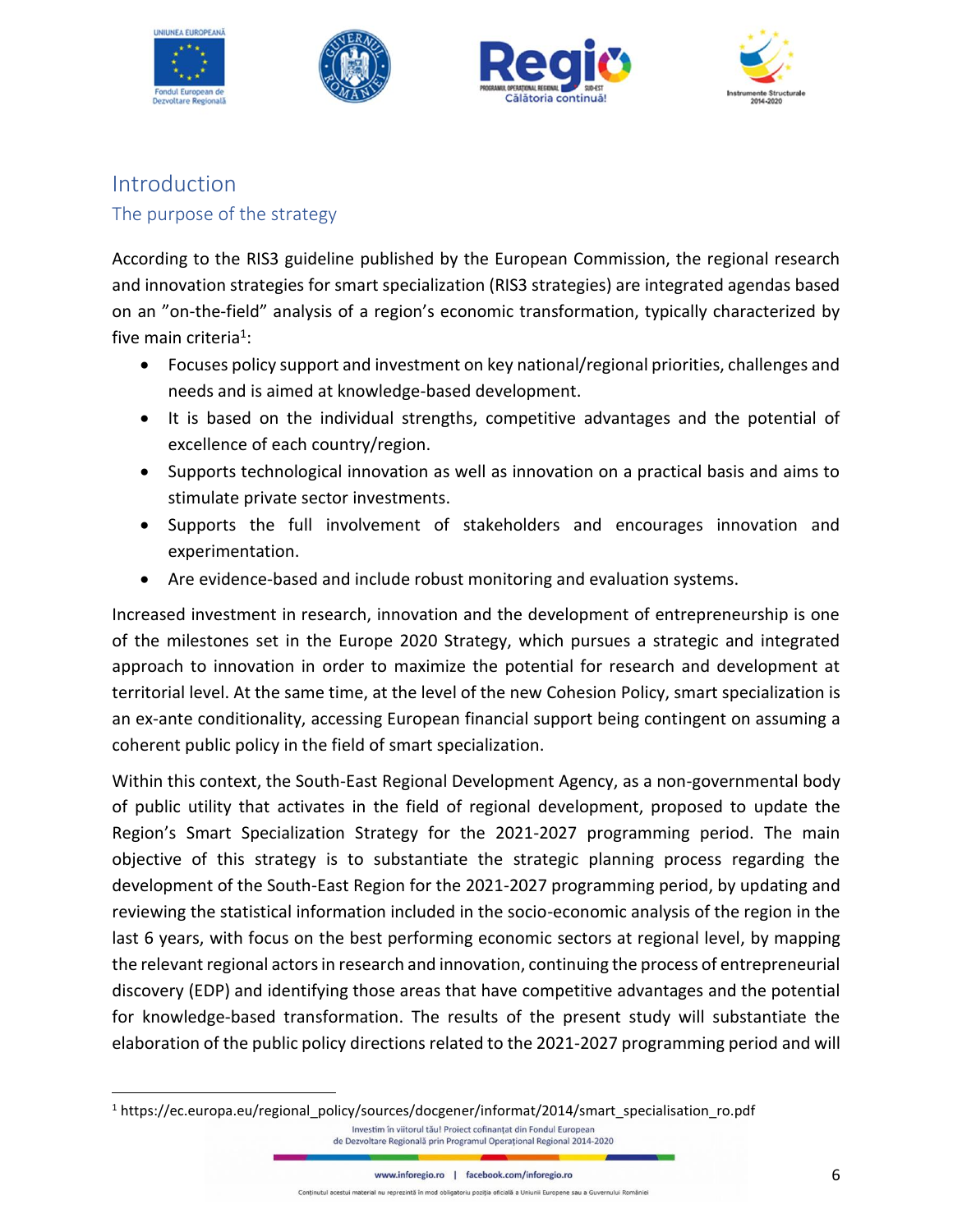







# <span id="page-5-1"></span><span id="page-5-0"></span>Introduction The purpose of the strategy

According to the RIS3 guideline published by the European Commission, the regional research and innovation strategies for smart specialization (RIS3 strategies) are integrated agendas based on an "on-the-field" analysis of a region's economic transformation, typically characterized by five main criteria<sup>1</sup>:

- Focuses policy support and investment on key national/regional priorities, challenges and needs and is aimed at knowledge-based development.
- It is based on the individual strengths, competitive advantages and the potential of excellence of each country/region.
- Supports technological innovation as well as innovation on a practical basis and aims to stimulate private sector investments.
- Supports the full involvement of stakeholders and encourages innovation and experimentation.
- Are evidence-based and include robust monitoring and evaluation systems.

Increased investment in research, innovation and the development of entrepreneurship is one of the milestones set in the Europe 2020 Strategy, which pursues a strategic and integrated approach to innovation in order to maximize the potential for research and development at territorial level. At the same time, at the level of the new Cohesion Policy, smart specialization is an ex-ante conditionality, accessing European financial support being contingent on assuming a coherent public policy in the field of smart specialization.

Within this context, the South-East Regional Development Agency, as a non-governmental body of public utility that activates in the field of regional development, proposed to update the Region's Smart Specialization Strategy for the 2021-2027 programming period. The main objective of this strategy is to substantiate the strategic planning process regarding the development of the South-East Region for the 2021-2027 programming period, by updating and reviewing the statistical information included in the socio-economic analysis of the region in the last 6 years, with focus on the best performing economic sectors at regional level, by mapping the relevant regional actors in research and innovation, continuing the process of entrepreneurial discovery (EDP) and identifying those areas that have competitive advantages and the potential for knowledge-based transformation. The results of the present study will substantiate the elaboration of the public policy directions related to the 2021-2027 programming period and will

<sup>1</sup> https://ec.europa.eu/regional\_policy/sources/docgener/informat/2014/smart\_specialisation\_ro.pdfInvestim în viitorul tău! Proiect cofinanțat din Fondul European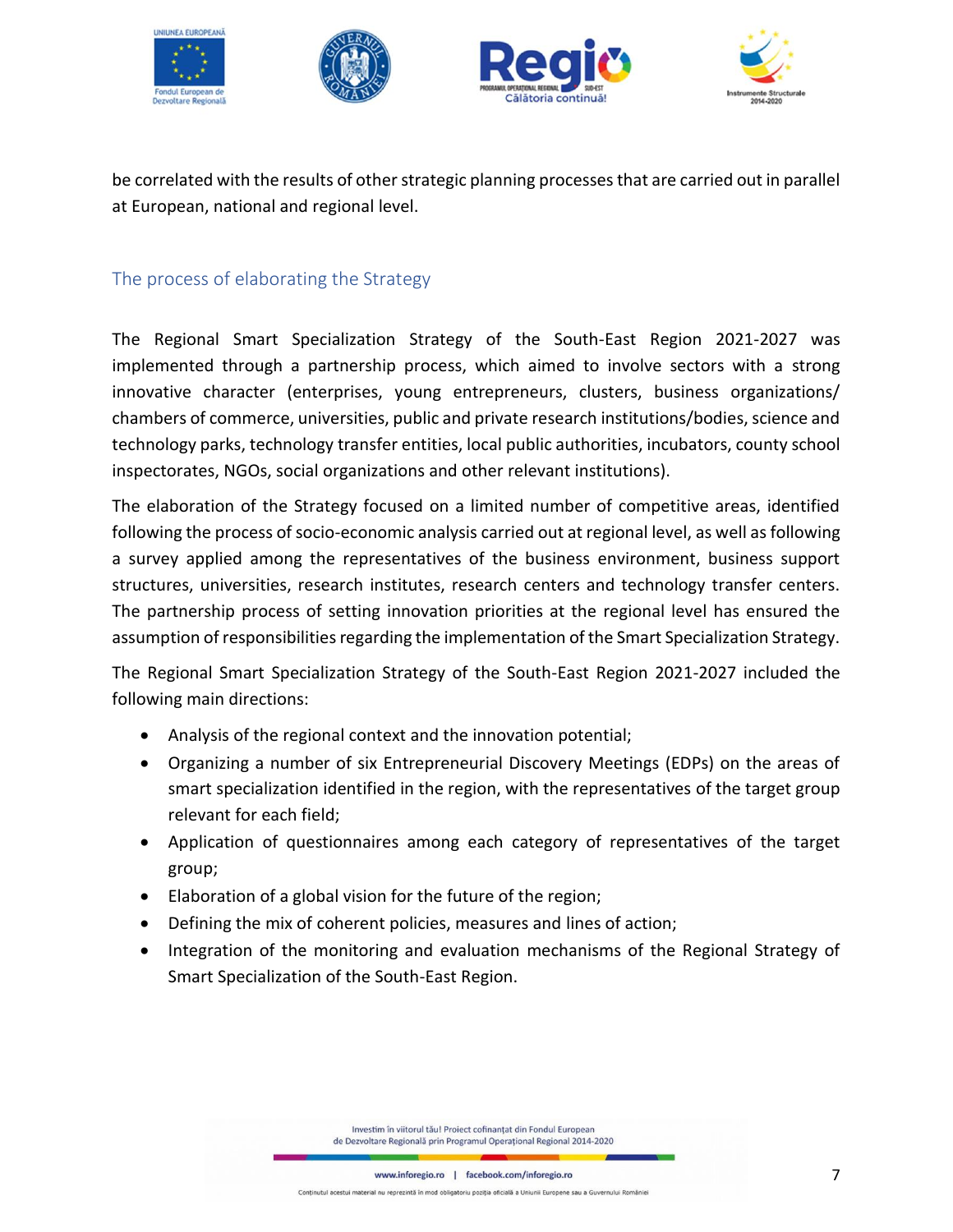







be correlated with the results of other strategic planning processes that are carried out in parallel at European, national and regional level.

## <span id="page-6-0"></span>The process of elaborating the Strategy

The Regional Smart Specialization Strategy of the South-East Region 2021-2027 was implemented through a partnership process, which aimed to involve sectors with a strong innovative character (enterprises, young entrepreneurs, clusters, business organizations/ chambers of commerce, universities, public and private research institutions/bodies, science and technology parks, technology transfer entities, local public authorities, incubators, county school inspectorates, NGOs, social organizations and other relevant institutions).

The elaboration of the Strategy focused on a limited number of competitive areas, identified following the process of socio-economic analysis carried out at regional level, as well as following a survey applied among the representatives of the business environment, business support structures, universities, research institutes, research centers and technology transfer centers. The partnership process of setting innovation priorities at the regional level has ensured the assumption of responsibilities regarding the implementation of the Smart Specialization Strategy.

The Regional Smart Specialization Strategy of the South-East Region 2021-2027 included the following main directions:

- Analysis of the regional context and the innovation potential;
- Organizing a number of six Entrepreneurial Discovery Meetings (EDPs) on the areas of smart specialization identified in the region, with the representatives of the target group relevant for each field;
- Application of questionnaires among each category of representatives of the target group;
- Elaboration of a global vision for the future of the region;
- Defining the mix of coherent policies, measures and lines of action;
- Integration of the monitoring and evaluation mechanisms of the Regional Strategy of Smart Specialization of the South-East Region.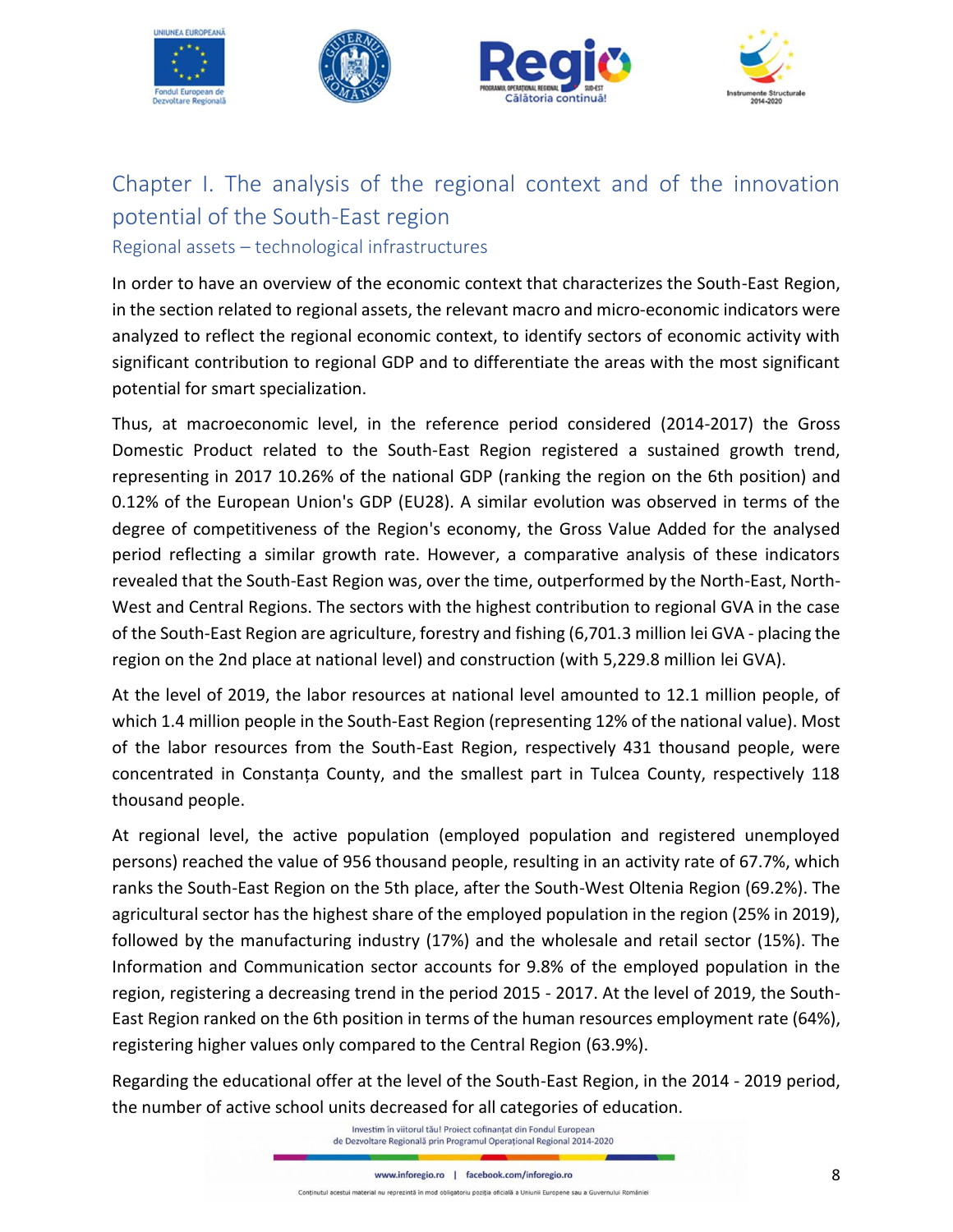

# <span id="page-7-0"></span>Chapter I. The analysis of the regional context and of the innovation potential of the South-East region Regional assets – technological infrastructures

In order to have an overview of the economic context that characterizes the South-East Region, in the section related to regional assets, the relevant macro and micro-economic indicators were analyzed to reflect the regional economic context, to identify sectors of economic activity with significant contribution to regional GDP and to differentiate the areas with the most significant potential for smart specialization.

Thus, at macroeconomic level, in the reference period considered (2014-2017) the Gross Domestic Product related to the South-East Region registered a sustained growth trend, representing in 2017 10.26% of the national GDP (ranking the region on the 6th position) and 0.12% of the European Union's GDP (EU28). A similar evolution was observed in terms of the degree of competitiveness of the Region's economy, the Gross Value Added for the analysed period reflecting a similar growth rate. However, a comparative analysis of these indicators revealed that the South-East Region was, over the time, outperformed by the North-East, North-West and Central Regions. The sectors with the highest contribution to regional GVA in the case of the South-East Region are agriculture, forestry and fishing (6,701.3 million lei GVA - placing the region on the 2nd place at national level) and construction (with 5,229.8 million lei GVA).

At the level of 2019, the labor resources at national level amounted to 12.1 million people, of which 1.4 million people in the South-East Region (representing 12% of the national value). Most of the labor resources from the South-East Region, respectively 431 thousand people, were concentrated in Constanța County, and the smallest part in Tulcea County, respectively 118 thousand people.

At regional level, the active population (employed population and registered unemployed persons) reached the value of 956 thousand people, resulting in an activity rate of 67.7%, which ranks the South-East Region on the 5th place, after the South-West Oltenia Region (69.2%). The agricultural sector has the highest share of the employed population in the region (25% in 2019), followed by the manufacturing industry (17%) and the wholesale and retail sector (15%). The Information and Communication sector accounts for 9.8% of the employed population in the region, registering a decreasing trend in the period 2015 - 2017. At the level of 2019, the South-East Region ranked on the 6th position in terms of the human resources employment rate (64%), registering higher values only compared to the Central Region (63.9%).

Regarding the educational offer at the level of the South-East Region, in the 2014 - 2019 period, the number of active school units decreased for all categories of education.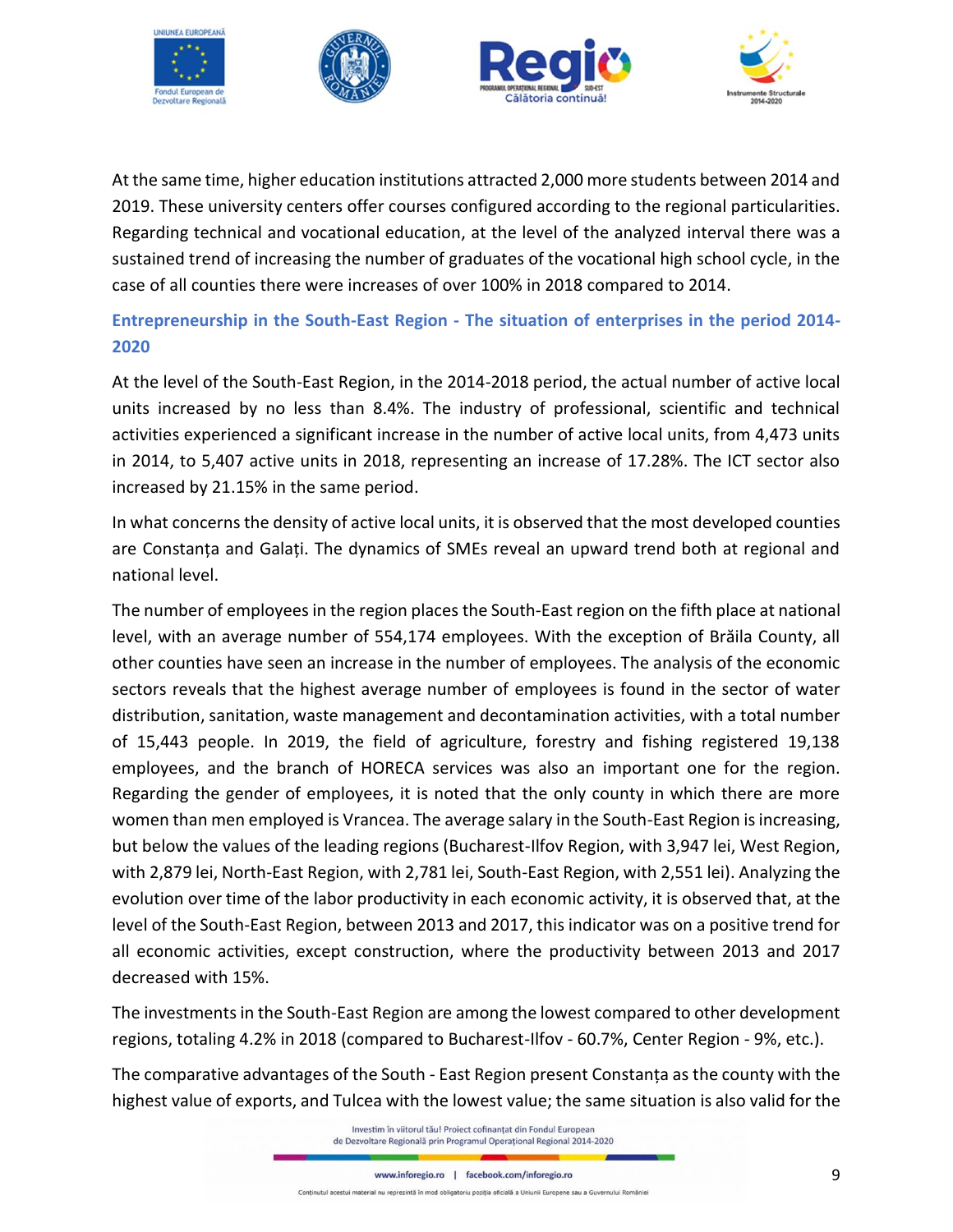

At the same time, higher education institutions attracted 2,000 more students between 2014 and 2019. These university centers offer courses configured according to the regional particularities. Regarding technical and vocational education, at the level of the analyzed interval there was a sustained trend of increasing the number of graduates of the vocational high school cycle, in the case of all counties there were increases of over 100% in 2018 compared to 2014.

# **Entrepreneurship in the South-East Region - The situation of enterprises in the period 2014- 2020**

At the level of the South-East Region, in the 2014-2018 period, the actual number of active local units increased by no less than 8.4%. The industry of professional, scientific and technical activities experienced a significant increase in the number of active local units, from 4,473 units in 2014, to 5,407 active units in 2018, representing an increase of 17.28%. The ICT sector also increased by 21.15% in the same period.

In what concerns the density of active local units, it is observed that the most developed counties are Constanța and Galați. The dynamics of SMEs reveal an upward trend both at regional and national level.

The number of employees in the region places the South-East region on the fifth place at national level, with an average number of 554,174 employees. With the exception of Brăila County, all other counties have seen an increase in the number of employees. The analysis of the economic sectors reveals that the highest average number of employees is found in the sector of water distribution, sanitation, waste management and decontamination activities, with a total number of 15,443 people. In 2019, the field of agriculture, forestry and fishing registered 19,138 employees, and the branch of HORECA services was also an important one for the region. Regarding the gender of employees, it is noted that the only county in which there are more women than men employed is Vrancea. The average salary in the South-East Region is increasing, but below the values of the leading regions (Bucharest-Ilfov Region, with 3,947 lei, West Region, with 2,879 lei, North-East Region, with 2,781 lei, South-East Region, with 2,551 lei). Analyzing the evolution over time of the labor productivity in each economic activity, it is observed that, at the level of the South-East Region, between 2013 and 2017, this indicator was on a positive trend for all economic activities, except construction, where the productivity between 2013 and 2017 decreased with 15%.

The investments in the South-East Region are among the lowest compared to other development regions, totaling 4.2% in 2018 (compared to Bucharest-Ilfov - 60.7%, Center Region - 9%, etc.).

The comparative advantages of the South - East Region present Constanța as the county with the highest value of exports, and Tulcea with the lowest value; the same situation is also valid for the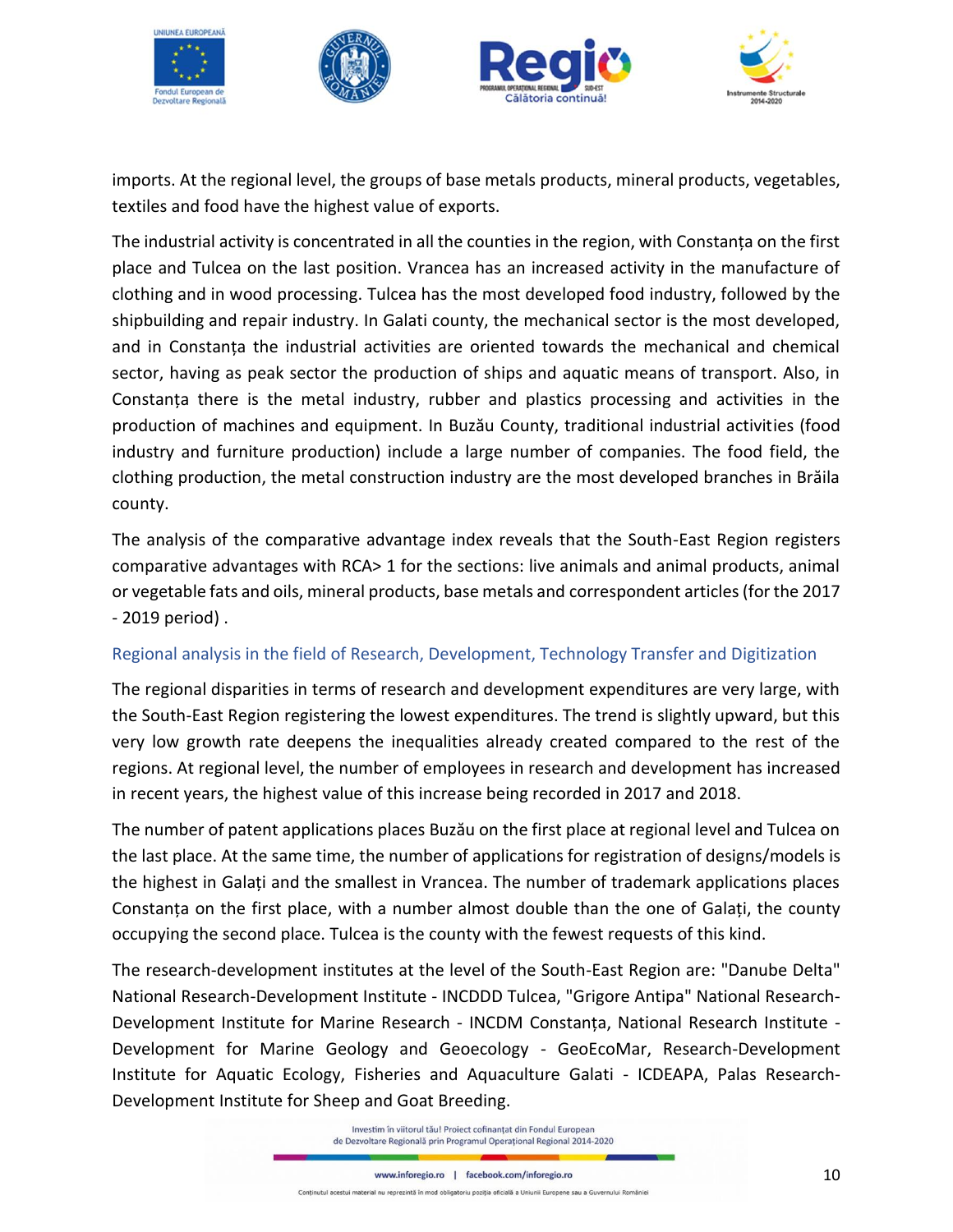

imports. At the regional level, the groups of base metals products, mineral products, vegetables, textiles and food have the highest value of exports.

The industrial activity is concentrated in all the counties in the region, with Constanța on the first place and Tulcea on the last position. Vrancea has an increased activity in the manufacture of clothing and in wood processing. Tulcea has the most developed food industry, followed by the shipbuilding and repair industry. In Galati county, the mechanical sector is the most developed, and in Constanța the industrial activities are oriented towards the mechanical and chemical sector, having as peak sector the production of ships and aquatic means of transport. Also, in Constanța there is the metal industry, rubber and plastics processing and activities in the production of machines and equipment. In Buzău County, traditional industrial activities (food industry and furniture production) include a large number of companies. The food field, the clothing production, the metal construction industry are the most developed branches in Brăila county.

The analysis of the comparative advantage index reveals that the South-East Region registers comparative advantages with RCA> 1 for the sections: live animals and animal products, animal or vegetable fats and oils, mineral products, base metals and correspondent articles (for the 2017 - 2019 period) .

### Regional analysis in the field of Research, Development, Technology Transfer and Digitization

The regional disparities in terms of research and development expenditures are very large, with the South-East Region registering the lowest expenditures. The trend is slightly upward, but this very low growth rate deepens the inequalities already created compared to the rest of the regions. At regional level, the number of employees in research and development has increased in recent years, the highest value of this increase being recorded in 2017 and 2018.

The number of patent applications places Buzău on the first place at regional level and Tulcea on the last place. At the same time, the number of applications for registration of designs/models is the highest in Galați and the smallest in Vrancea. The number of trademark applications places Constanța on the first place, with a number almost double than the one of Galați, the county occupying the second place. Tulcea is the county with the fewest requests of this kind.

The research-development institutes at the level of the South-East Region are: "Danube Delta" National Research-Development Institute - INCDDD Tulcea, "Grigore Antipa" National Research-Development Institute for Marine Research - INCDM Constanța, National Research Institute - Development for Marine Geology and Geoecology - GeoEcoMar, Research-Development Institute for Aquatic Ecology, Fisheries and Aquaculture Galati - ICDEAPA, Palas Research-Development Institute for Sheep and Goat Breeding.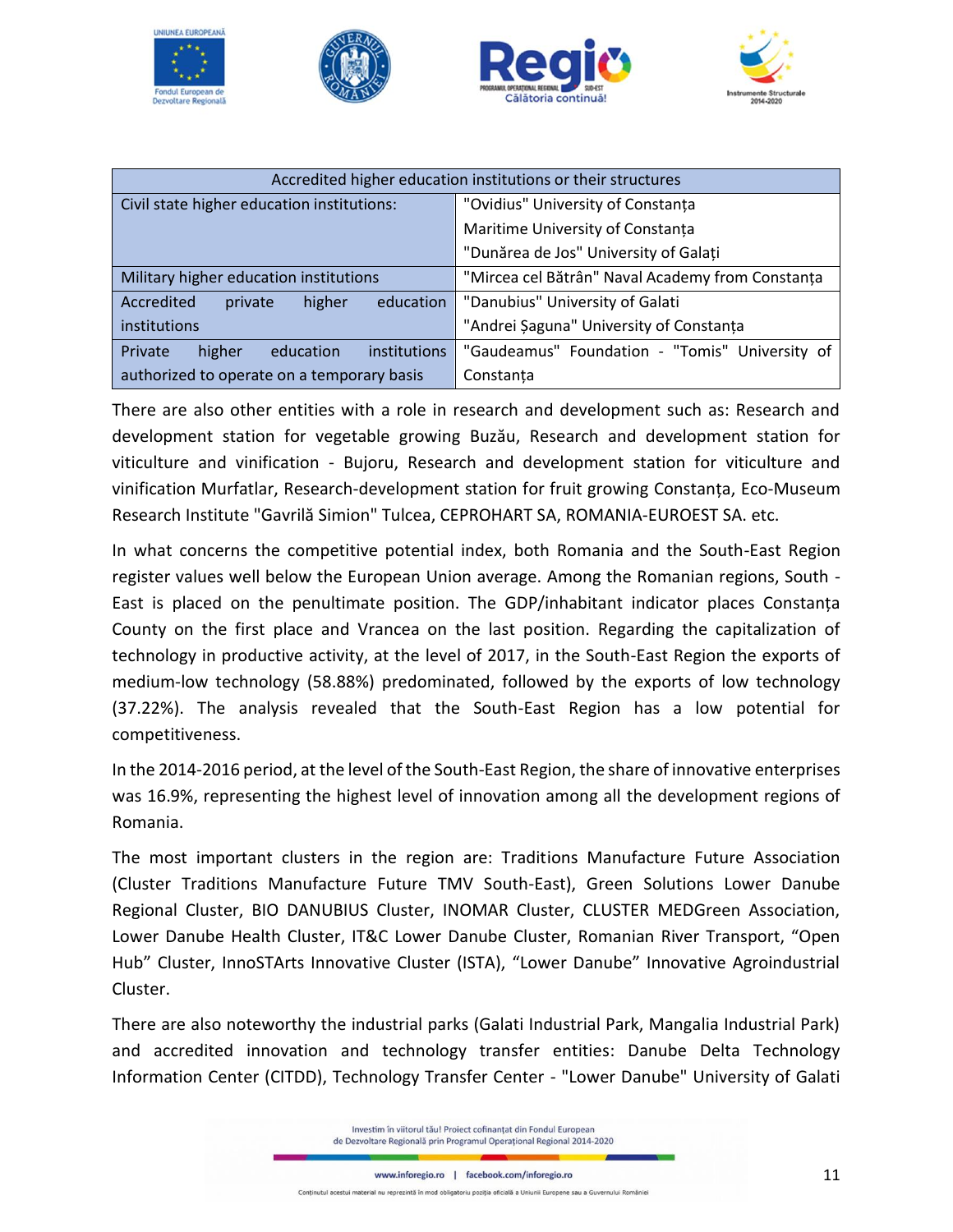







| Accredited higher education institutions or their structures                               |                                                |  |
|--------------------------------------------------------------------------------------------|------------------------------------------------|--|
| Civil state higher education institutions:                                                 | "Ovidius" University of Constanța              |  |
|                                                                                            | Maritime University of Constanța               |  |
|                                                                                            | "Dunărea de Jos" University of Galați          |  |
| "Mircea cel Bătrân" Naval Academy from Constanța<br>Military higher education institutions |                                                |  |
| Accredited<br>higher<br>education<br>private                                               | "Danubius" University of Galati                |  |
| "Andrei Şaguna" University of Constanța<br>institutions                                    |                                                |  |
| Private<br>higher<br>institutions<br>education                                             | "Gaudeamus" Foundation - "Tomis" University of |  |
| authorized to operate on a temporary basis                                                 | Constanta                                      |  |

There are also other entities with a role in research and development such as: Research and development station for vegetable growing Buzău, Research and development station for viticulture and vinification - Bujoru, Research and development station for viticulture and vinification Murfatlar, Research-development station for fruit growing Constanța, Eco-Museum Research Institute "Gavrilă Simion" Tulcea, CEPROHART SA, ROMANIA-EUROEST SA. etc.

In what concerns the competitive potential index, both Romania and the South-East Region register values well below the European Union average. Among the Romanian regions, South - East is placed on the penultimate position. The GDP/inhabitant indicator places Constanța County on the first place and Vrancea on the last position. Regarding the capitalization of technology in productive activity, at the level of 2017, in the South-East Region the exports of medium-low technology (58.88%) predominated, followed by the exports of low technology (37.22%). The analysis revealed that the South-East Region has a low potential for competitiveness.

In the 2014-2016 period, at the level of the South-East Region, the share of innovative enterprises was 16.9%, representing the highest level of innovation among all the development regions of Romania.

The most important clusters in the region are: Traditions Manufacture Future Association (Cluster Traditions Manufacture Future TMV South-East), Green Solutions Lower Danube Regional Cluster, BIO DANUBIUS Cluster, INOMAR Cluster, CLUSTER MEDGreen Association, Lower Danube Health Cluster, IT&C Lower Danube Cluster, Romanian River Transport, "Open Hub" Cluster, InnoSTArts Innovative Cluster (ISTA), "Lower Danube" Innovative Agroindustrial Cluster.

There are also noteworthy the industrial parks (Galati Industrial Park, Mangalia Industrial Park) and accredited innovation and technology transfer entities: Danube Delta Technology Information Center (CITDD), Technology Transfer Center - "Lower Danube" University of Galati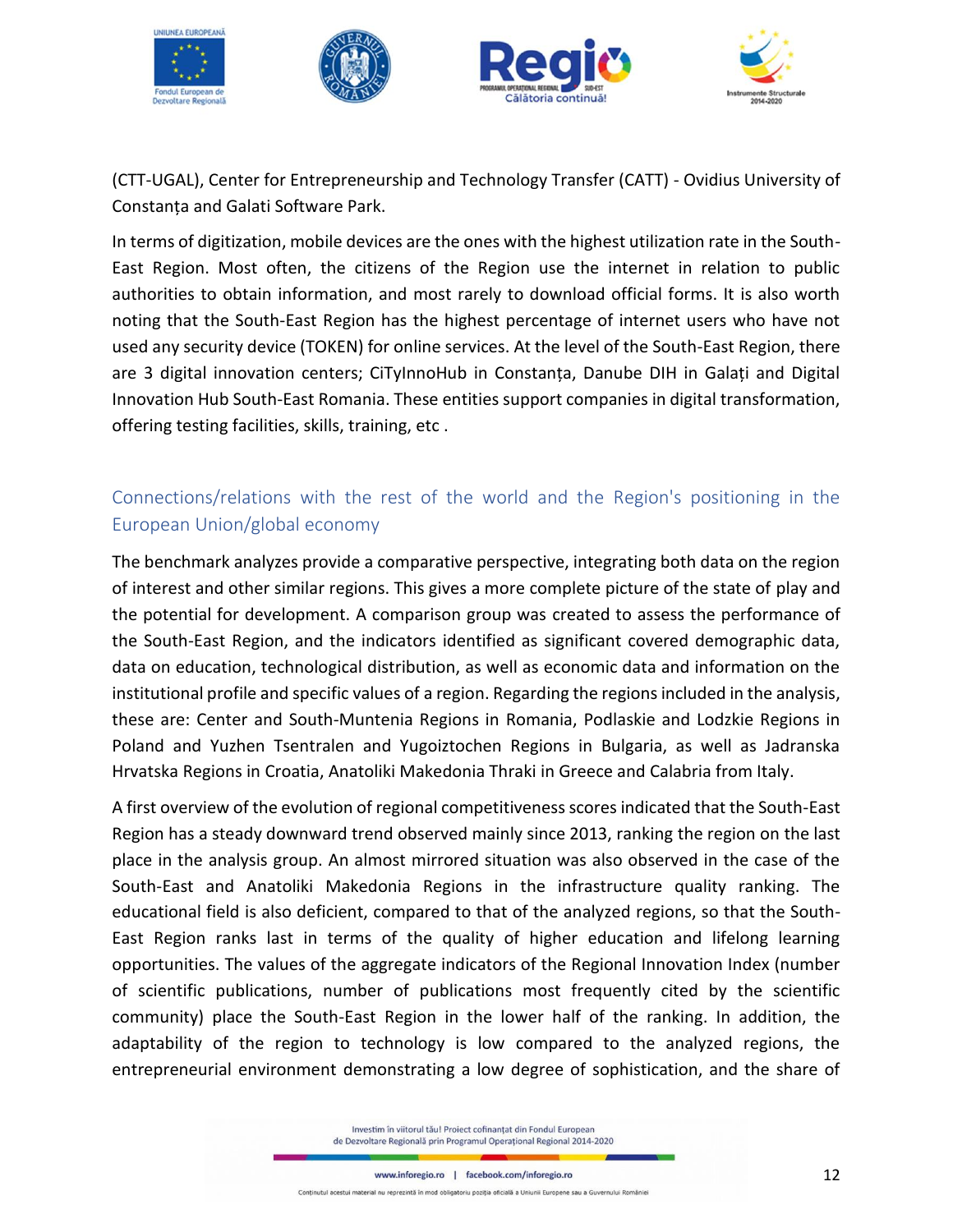

(CTT-UGAL), Center for Entrepreneurship and Technology Transfer (CATT) - Ovidius University of Constanța and Galati Software Park.

In terms of digitization, mobile devices are the ones with the highest utilization rate in the South-East Region. Most often, the citizens of the Region use the internet in relation to public authorities to obtain information, and most rarely to download official forms. It is also worth noting that the South-East Region has the highest percentage of internet users who have not used any security device (TOKEN) for online services. At the level of the South-East Region, there are 3 digital innovation centers; CiTyInnoHub in Constanța, Danube DIH in Galați and Digital Innovation Hub South-East Romania. These entities support companies in digital transformation, offering testing facilities, skills, training, etc .

# Connections/relations with the rest of the world and the Region's positioning in the European Union/global economy

The benchmark analyzes provide a comparative perspective, integrating both data on the region of interest and other similar regions. This gives a more complete picture of the state of play and the potential for development. A comparison group was created to assess the performance of the South-East Region, and the indicators identified as significant covered demographic data, data on education, technological distribution, as well as economic data and information on the institutional profile and specific values of a region. Regarding the regions included in the analysis, these are: Center and South-Muntenia Regions in Romania, Podlaskie and Lodzkie Regions in Poland and Yuzhen Tsentralen and Yugoiztochen Regions in Bulgaria, as well as Jadranska Hrvatska Regions in Croatia, Anatoliki Makedonia Thraki in Greece and Calabria from Italy.

A first overview of the evolution of regional competitiveness scores indicated that the South-East Region has a steady downward trend observed mainly since 2013, ranking the region on the last place in the analysis group. An almost mirrored situation was also observed in the case of the South-East and Anatoliki Makedonia Regions in the infrastructure quality ranking. The educational field is also deficient, compared to that of the analyzed regions, so that the South-East Region ranks last in terms of the quality of higher education and lifelong learning opportunities. The values of the aggregate indicators of the Regional Innovation Index (number of scientific publications, number of publications most frequently cited by the scientific community) place the South-East Region in the lower half of the ranking. In addition, the adaptability of the region to technology is low compared to the analyzed regions, the entrepreneurial environment demonstrating a low degree of sophistication, and the share of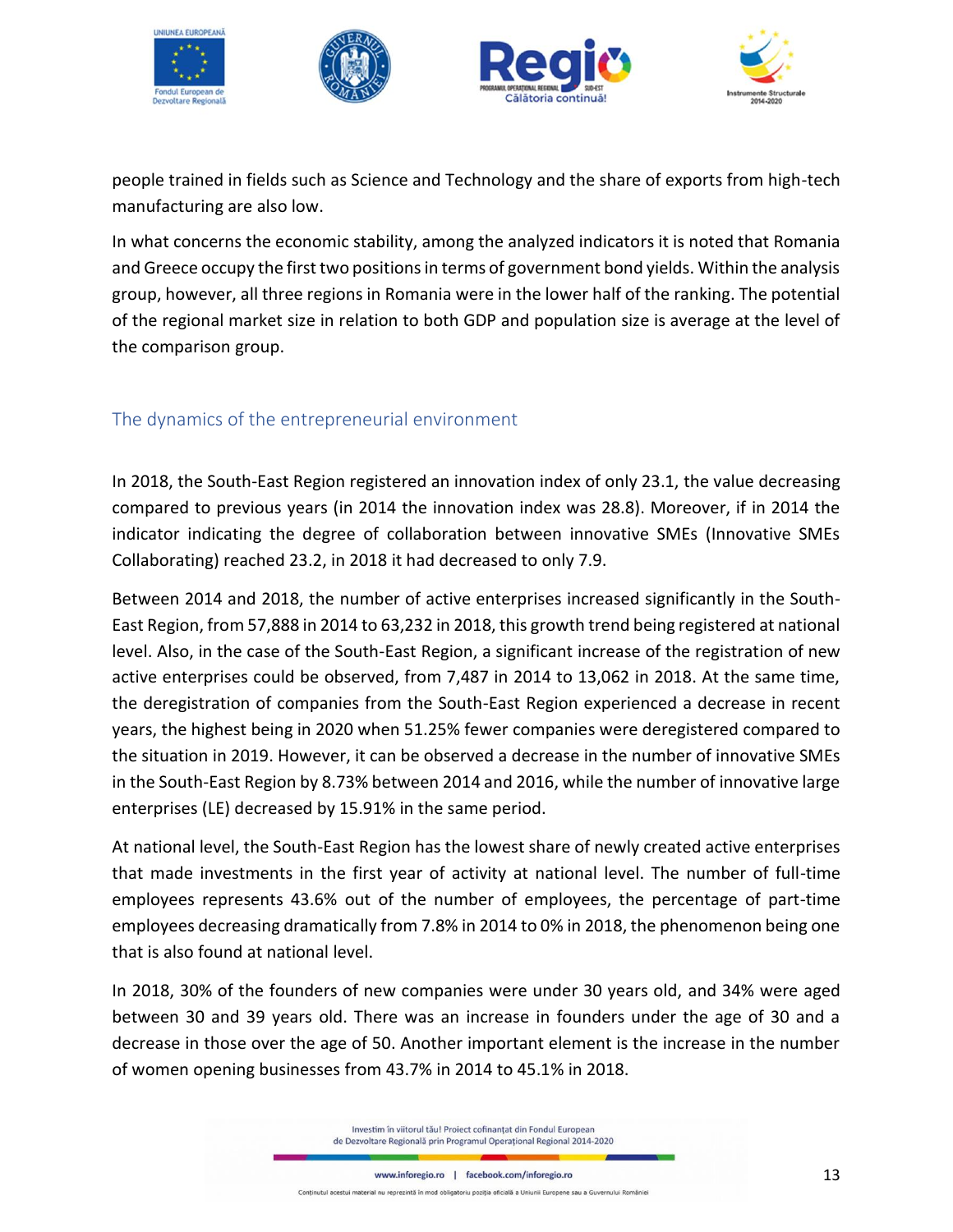

people trained in fields such as Science and Technology and the share of exports from high-tech manufacturing are also low.

In what concerns the economic stability, among the analyzed indicators it is noted that Romania and Greece occupy the first two positions in terms of government bond yields. Within the analysis group, however, all three regions in Romania were in the lower half of the ranking. The potential of the regional market size in relation to both GDP and population size is average at the level of the comparison group.

### <span id="page-12-0"></span>The dynamics of the entrepreneurial environment

In 2018, the South-East Region registered an innovation index of only 23.1, the value decreasing compared to previous years (in 2014 the innovation index was 28.8). Moreover, if in 2014 the indicator indicating the degree of collaboration between innovative SMEs (Innovative SMEs Collaborating) reached 23.2, in 2018 it had decreased to only 7.9.

Between 2014 and 2018, the number of active enterprises increased significantly in the South-East Region, from 57,888 in 2014 to 63,232 in 2018, this growth trend being registered at national level. Also, in the case of the South-East Region, a significant increase of the registration of new active enterprises could be observed, from 7,487 in 2014 to 13,062 in 2018. At the same time, the deregistration of companies from the South-East Region experienced a decrease in recent years, the highest being in 2020 when 51.25% fewer companies were deregistered compared to the situation in 2019. However, it can be observed a decrease in the number of innovative SMEs in the South-East Region by 8.73% between 2014 and 2016, while the number of innovative large enterprises (LE) decreased by 15.91% in the same period.

At national level, the South-East Region has the lowest share of newly created active enterprises that made investments in the first year of activity at national level. The number of full-time employees represents 43.6% out of the number of employees, the percentage of part-time employees decreasing dramatically from 7.8% in 2014 to 0% in 2018, the phenomenon being one that is also found at national level.

In 2018, 30% of the founders of new companies were under 30 years old, and 34% were aged between 30 and 39 years old. There was an increase in founders under the age of 30 and a decrease in those over the age of 50. Another important element is the increase in the number of women opening businesses from 43.7% in 2014 to 45.1% in 2018.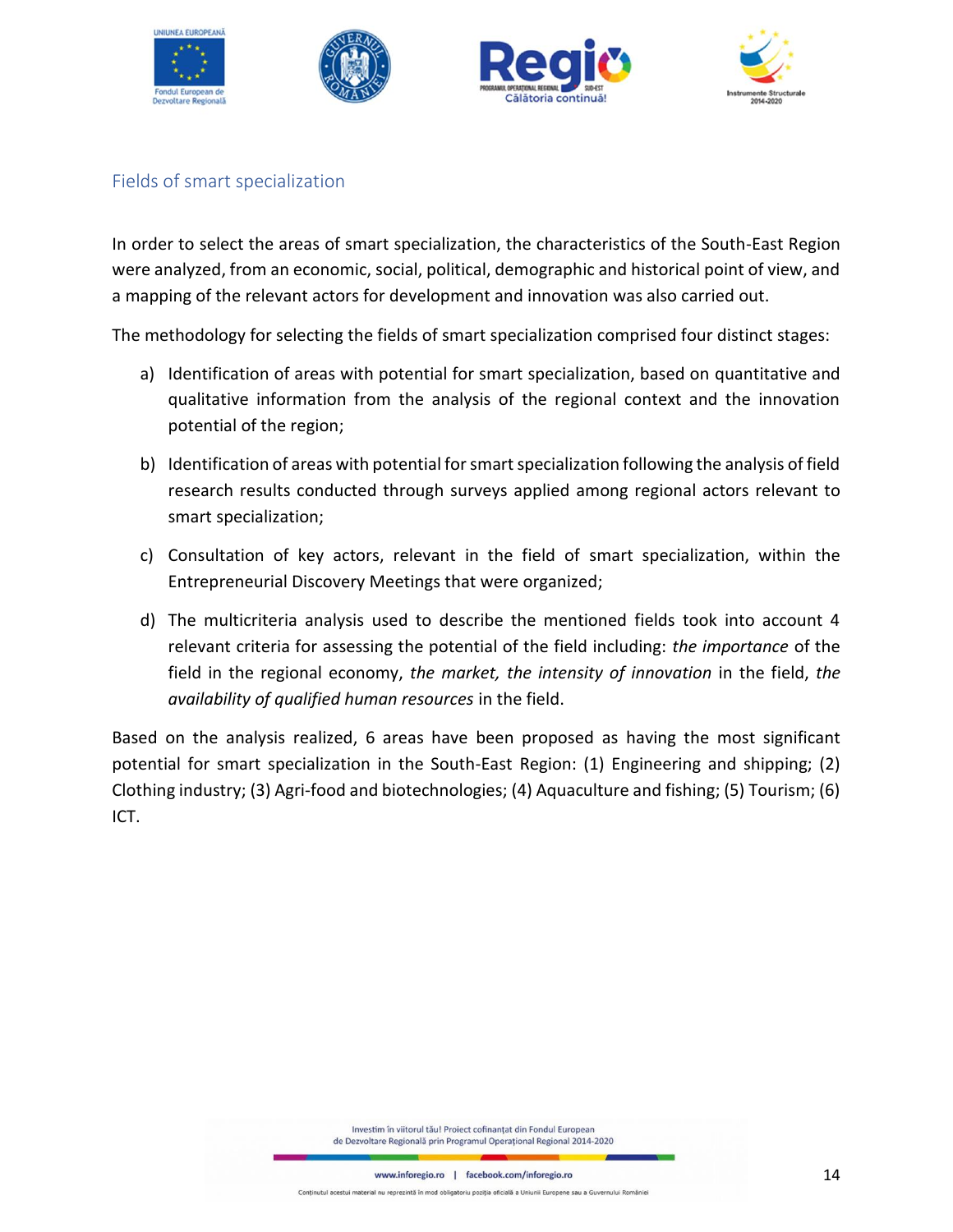



### <span id="page-13-0"></span>Fields of smart specialization

In order to select the areas of smart specialization, the characteristics of the South-East Region were analyzed, from an economic, social, political, demographic and historical point of view, and a mapping of the relevant actors for development and innovation was also carried out.

The methodology for selecting the fields of smart specialization comprised four distinct stages:

- a) Identification of areas with potential for smart specialization, based on quantitative and qualitative information from the analysis of the regional context and the innovation potential of the region;
- b) Identification of areas with potential for smart specialization following the analysis of field research results conducted through surveys applied among regional actors relevant to smart specialization;
- c) Consultation of key actors, relevant in the field of smart specialization, within the Entrepreneurial Discovery Meetings that were organized;
- d) The multicriteria analysis used to describe the mentioned fields took into account 4 relevant criteria for assessing the potential of the field including: *the importance* of the field in the regional economy, *the market, the intensity of innovation* in the field, *the availability of qualified human resources* in the field.

Based on the analysis realized, 6 areas have been proposed as having the most significant potential for smart specialization in the South-East Region: (1) Engineering and shipping; (2) Clothing industry; (3) Agri-food and biotechnologies; (4) Aquaculture and fishing; (5) Tourism; (6) ICT.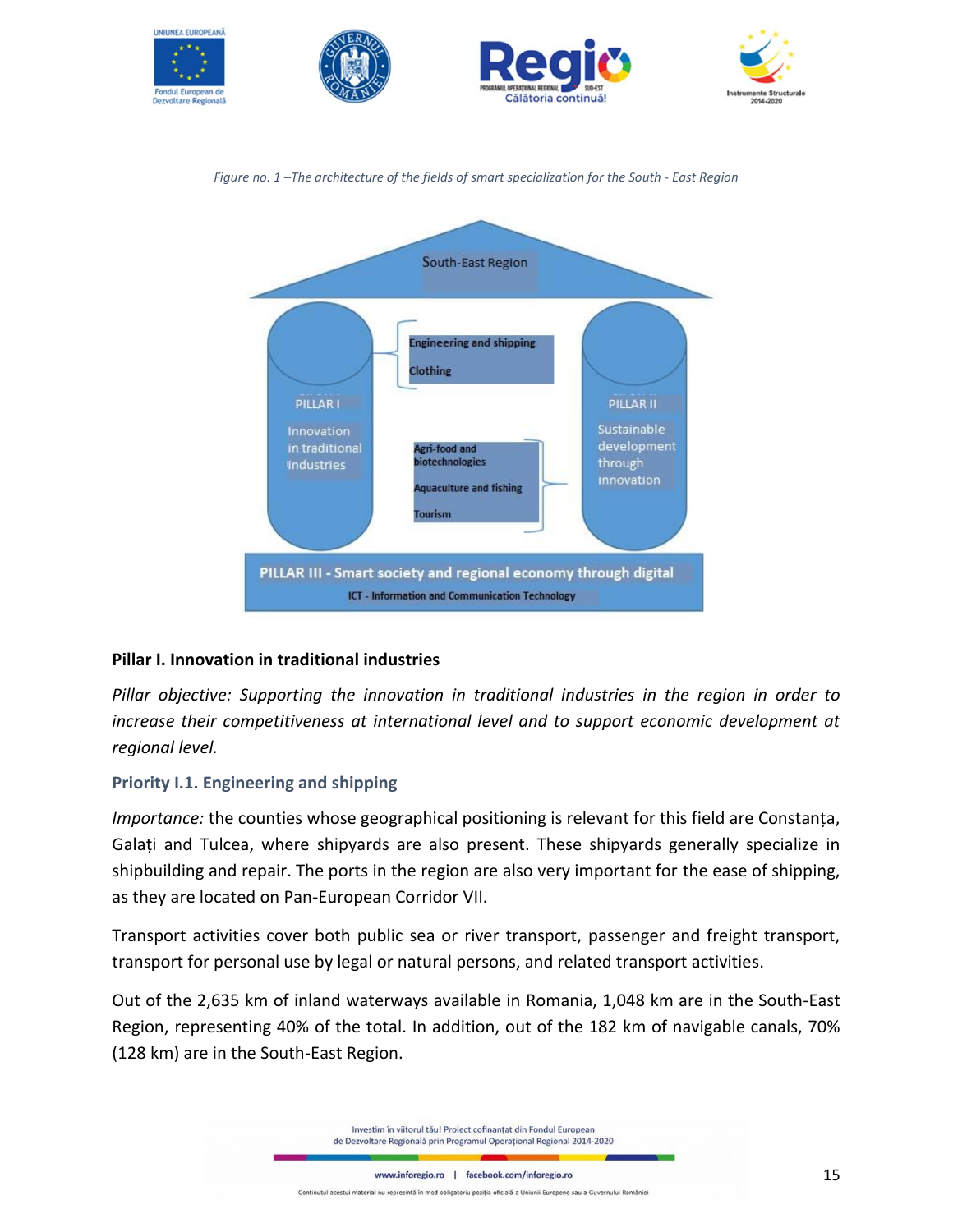





#### **Pillar I. Innovation in traditional industries**

*Pillar objective: Supporting the innovation in traditional industries in the region in order to increase their competitiveness at international level and to support economic development at regional level.*

#### **Priority I.1. Engineering and shipping**

*Importance:* the counties whose geographical positioning is relevant for this field are Constanța, Galați and Tulcea, where shipyards are also present. These shipyards generally specialize in shipbuilding and repair. The ports in the region are also very important for the ease of shipping, as they are located on Pan-European Corridor VII.

Transport activities cover both public sea or river transport, passenger and freight transport, transport for personal use by legal or natural persons, and related transport activities.

Out of the 2,635 km of inland waterways available in Romania, 1,048 km are in the South-East Region, representing 40% of the total. In addition, out of the 182 km of navigable canals, 70% (128 km) are in the South-East Region.

> Investim în viitorul tău! Proiect cofinanțat din Fondul European de Dezvoltare Regională prin Programul Operațional Regional 2014-2020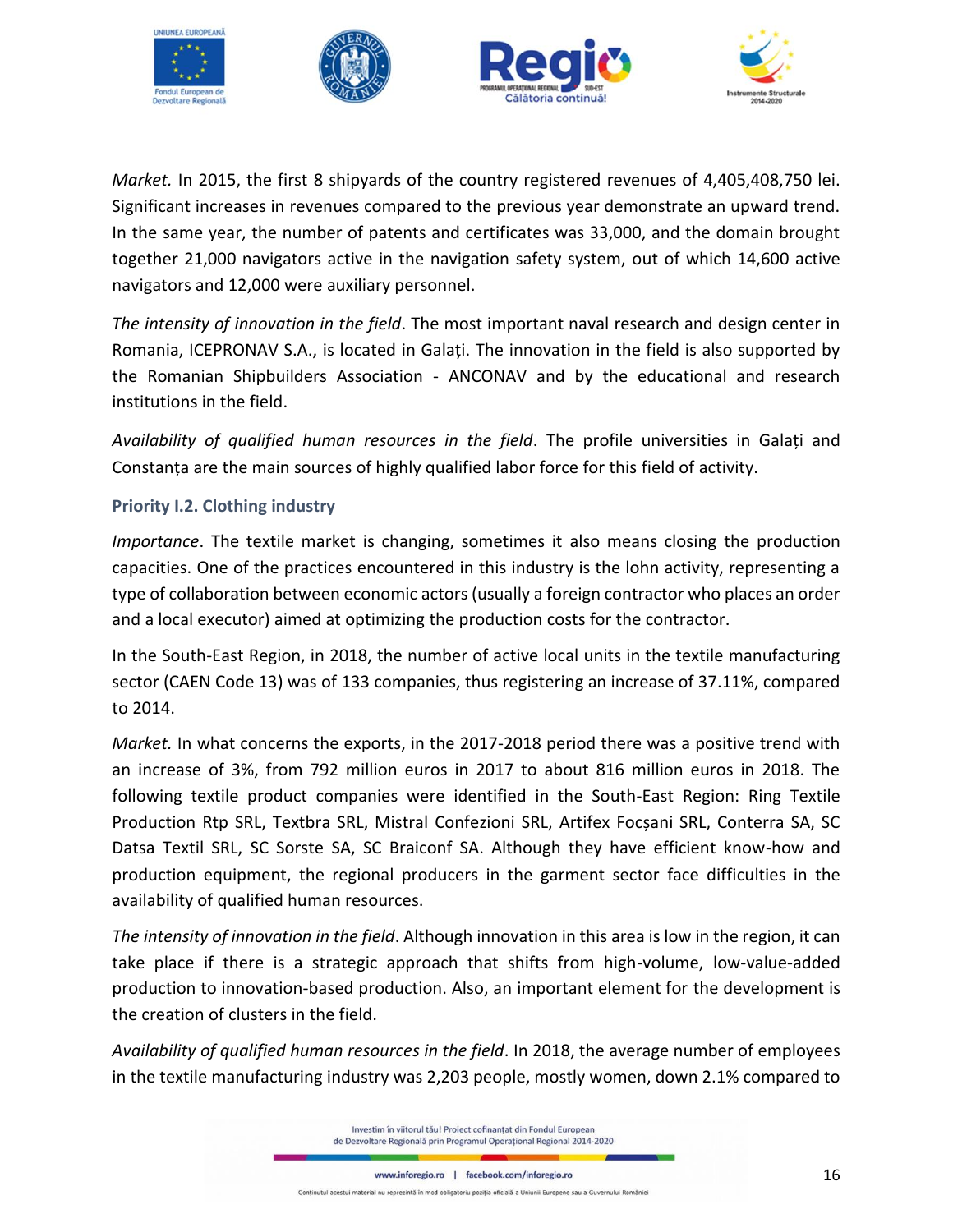

*Market.* In 2015, the first 8 shipyards of the country registered revenues of 4,405,408,750 lei. Significant increases in revenues compared to the previous year demonstrate an upward trend. In the same year, the number of patents and certificates was 33,000, and the domain brought together 21,000 navigators active in the navigation safety system, out of which 14,600 active navigators and 12,000 were auxiliary personnel.

*The intensity of innovation in the field*. The most important naval research and design center in Romania, ICEPRONAV S.A., is located in Galați. The innovation in the field is also supported by the Romanian Shipbuilders Association - ANCONAV and by the educational and research institutions in the field.

*Availability of qualified human resources in the field*. The profile universities in Galați and Constanța are the main sources of highly qualified labor force for this field of activity.

### **Priority I.2. Clothing industry**

*Importance*. The textile market is changing, sometimes it also means closing the production capacities. One of the practices encountered in this industry is the lohn activity, representing a type of collaboration between economic actors (usually a foreign contractor who places an order and a local executor) aimed at optimizing the production costs for the contractor.

In the South-East Region, in 2018, the number of active local units in the textile manufacturing sector (CAEN Code 13) was of 133 companies, thus registering an increase of 37.11%, compared to 2014.

*Market.* In what concerns the exports, in the 2017-2018 period there was a positive trend with an increase of 3%, from 792 million euros in 2017 to about 816 million euros in 2018. The following textile product companies were identified in the South-East Region: Ring Textile Production Rtp SRL, Textbra SRL, Mistral Confezioni SRL, Artifex Focșani SRL, Conterra SA, SC Datsa Textil SRL, SC Sorste SA, SC Braiconf SA. Although they have efficient know-how and production equipment, the regional producers in the garment sector face difficulties in the availability of qualified human resources.

*The intensity of innovation in the field*. Although innovation in this area is low in the region, it can take place if there is a strategic approach that shifts from high-volume, low-value-added production to innovation-based production. Also, an important element for the development is the creation of clusters in the field.

*Availability of qualified human resources in the field*. In 2018, the average number of employees in the textile manufacturing industry was 2,203 people, mostly women, down 2.1% compared to

> Investim în viitorul tău! Project cofinantat din Fondul European de Dezvoltare Regională prin Programul Operațional Regional 2014-2020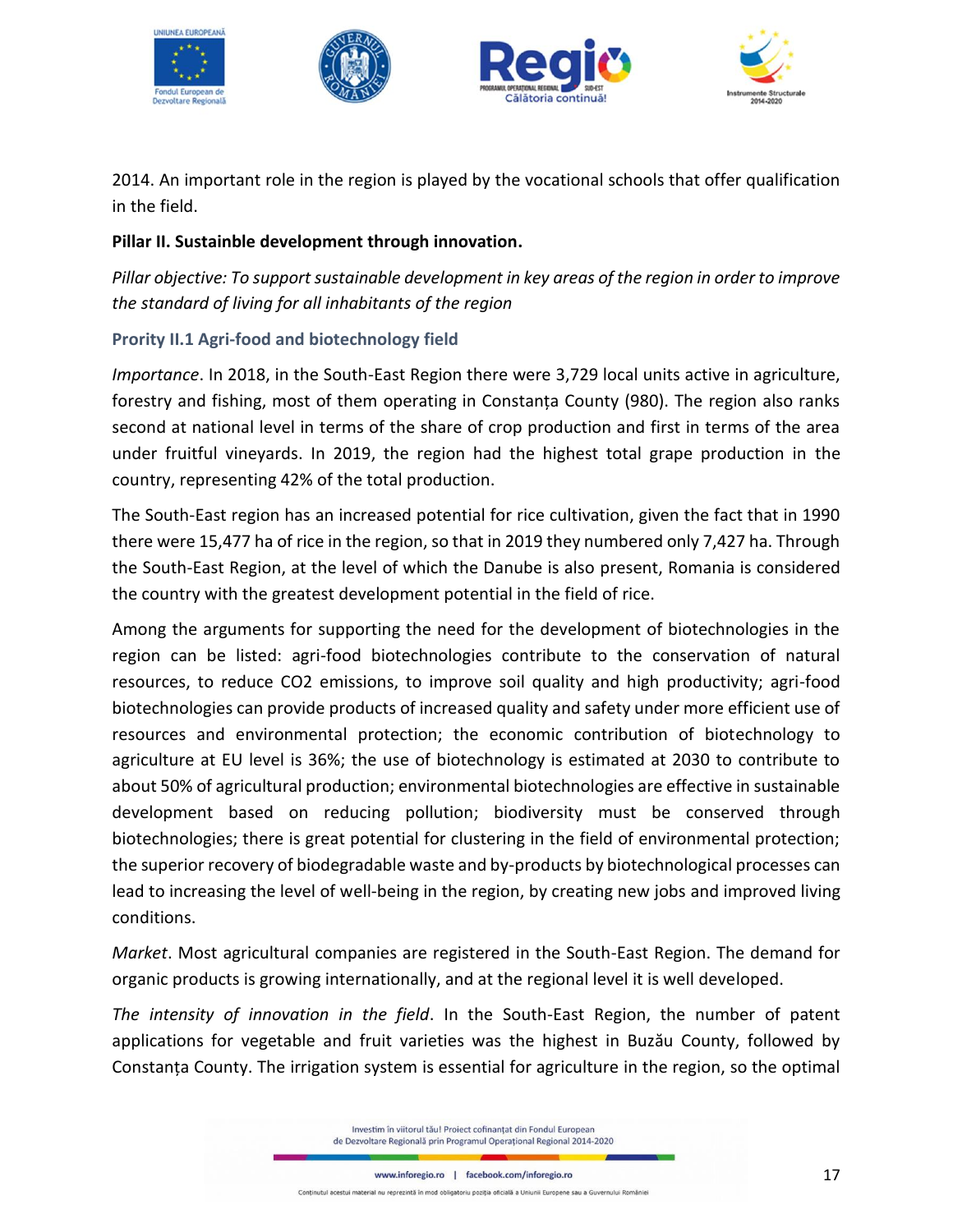







2014. An important role in the region is played by the vocational schools that offer qualification in the field.

### **Pillar II. Sustainble development through innovation.**

*Pillar objective: To support sustainable development in key areas of the region in order to improve the standard of living for all inhabitants of the region*

### **Prority II.1 Agri-food and biotechnology field**

*Importance*. In 2018, in the South-East Region there were 3,729 local units active in agriculture, forestry and fishing, most of them operating in Constanța County (980). The region also ranks second at national level in terms of the share of crop production and first in terms of the area under fruitful vineyards. In 2019, the region had the highest total grape production in the country, representing 42% of the total production.

The South-East region has an increased potential for rice cultivation, given the fact that in 1990 there were 15,477 ha of rice in the region, so that in 2019 they numbered only 7,427 ha. Through the South-East Region, at the level of which the Danube is also present, Romania is considered the country with the greatest development potential in the field of rice.

Among the arguments for supporting the need for the development of biotechnologies in the region can be listed: agri-food biotechnologies contribute to the conservation of natural resources, to reduce CO2 emissions, to improve soil quality and high productivity; agri-food biotechnologies can provide products of increased quality and safety under more efficient use of resources and environmental protection; the economic contribution of biotechnology to agriculture at EU level is 36%; the use of biotechnology is estimated at 2030 to contribute to about 50% of agricultural production; environmental biotechnologies are effective in sustainable development based on reducing pollution; biodiversity must be conserved through biotechnologies; there is great potential for clustering in the field of environmental protection; the superior recovery of biodegradable waste and by-products by biotechnological processes can lead to increasing the level of well-being in the region, by creating new jobs and improved living conditions.

*Market*. Most agricultural companies are registered in the South-East Region. The demand for organic products is growing internationally, and at the regional level it is well developed.

*The intensity of innovation in the field*. In the South-East Region, the number of patent applications for vegetable and fruit varieties was the highest in Buzău County, followed by Constanța County. The irrigation system is essential for agriculture in the region, so the optimal

> Investim în viitorul tău! Project cofinantat din Fondul European de Dezvoltare Regională prin Programul Operațional Regional 2014-2020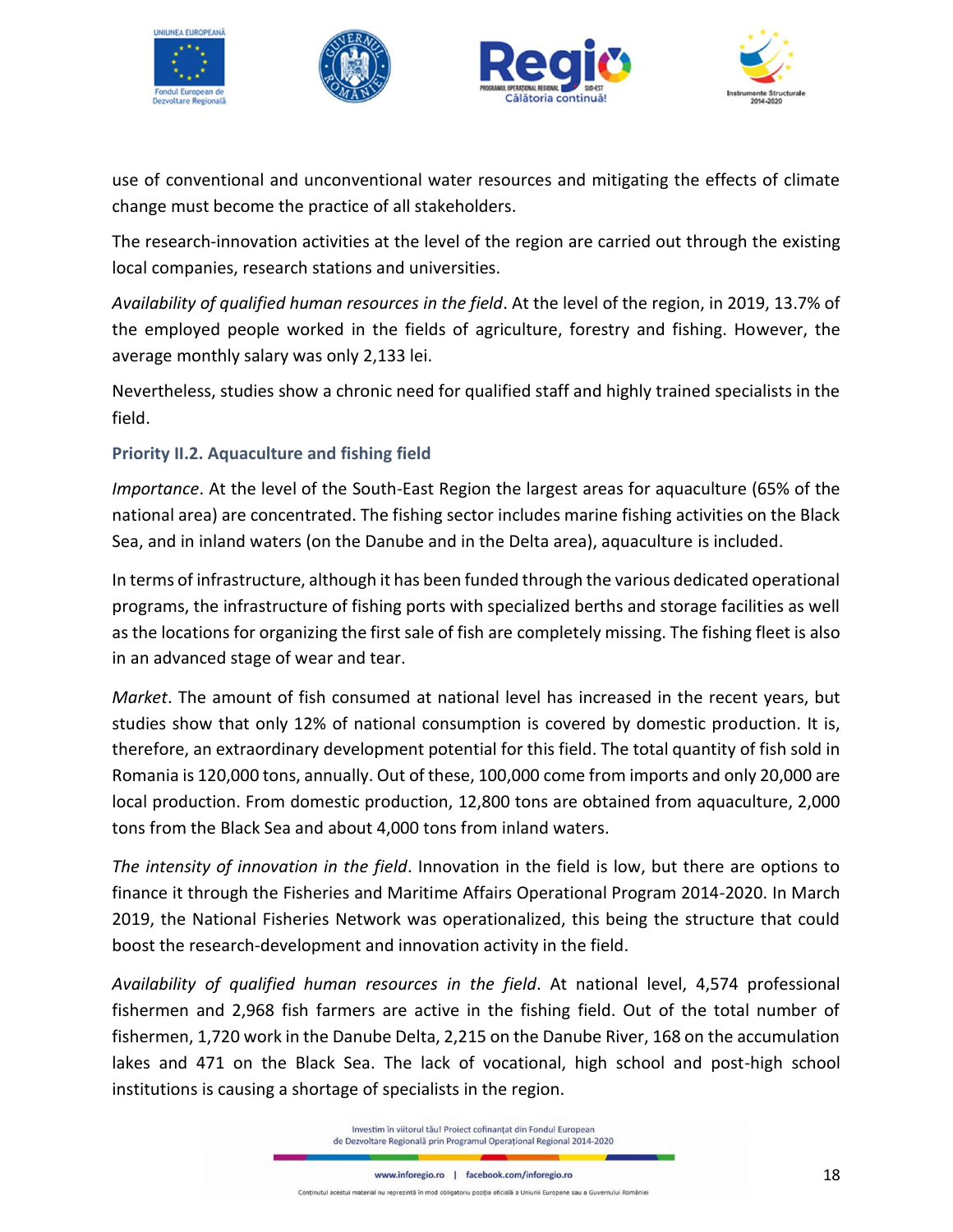







use of conventional and unconventional water resources and mitigating the effects of climate change must become the practice of all stakeholders.

The research-innovation activities at the level of the region are carried out through the existing local companies, research stations and universities.

*Availability of qualified human resources in the field*. At the level of the region, in 2019, 13.7% of the employed people worked in the fields of agriculture, forestry and fishing. However, the average monthly salary was only 2,133 lei.

Nevertheless, studies show a chronic need for qualified staff and highly trained specialists in the field.

### **Priority II.2. Aquaculture and fishing field**

*Importance*. At the level of the South-East Region the largest areas for aquaculture (65% of the national area) are concentrated. The fishing sector includes marine fishing activities on the Black Sea, and in inland waters (on the Danube and in the Delta area), aquaculture is included.

In terms of infrastructure, although it has been funded through the various dedicated operational programs, the infrastructure of fishing ports with specialized berths and storage facilities as well as the locations for organizing the first sale of fish are completely missing. The fishing fleet is also in an advanced stage of wear and tear.

*Market*. The amount of fish consumed at national level has increased in the recent years, but studies show that only 12% of national consumption is covered by domestic production. It is, therefore, an extraordinary development potential for this field. The total quantity of fish sold in Romania is 120,000 tons, annually. Out of these, 100,000 come from imports and only 20,000 are local production. From domestic production, 12,800 tons are obtained from aquaculture, 2,000 tons from the Black Sea and about 4,000 tons from inland waters.

*The intensity of innovation in the field*. Innovation in the field is low, but there are options to finance it through the Fisheries and Maritime Affairs Operational Program 2014-2020. In March 2019, the National Fisheries Network was operationalized, this being the structure that could boost the research-development and innovation activity in the field.

*Availability of qualified human resources in the field*. At national level, 4,574 professional fishermen and 2,968 fish farmers are active in the fishing field. Out of the total number of fishermen, 1,720 work in the Danube Delta, 2,215 on the Danube River, 168 on the accumulation lakes and 471 on the Black Sea. The lack of vocational, high school and post-high school institutions is causing a shortage of specialists in the region.

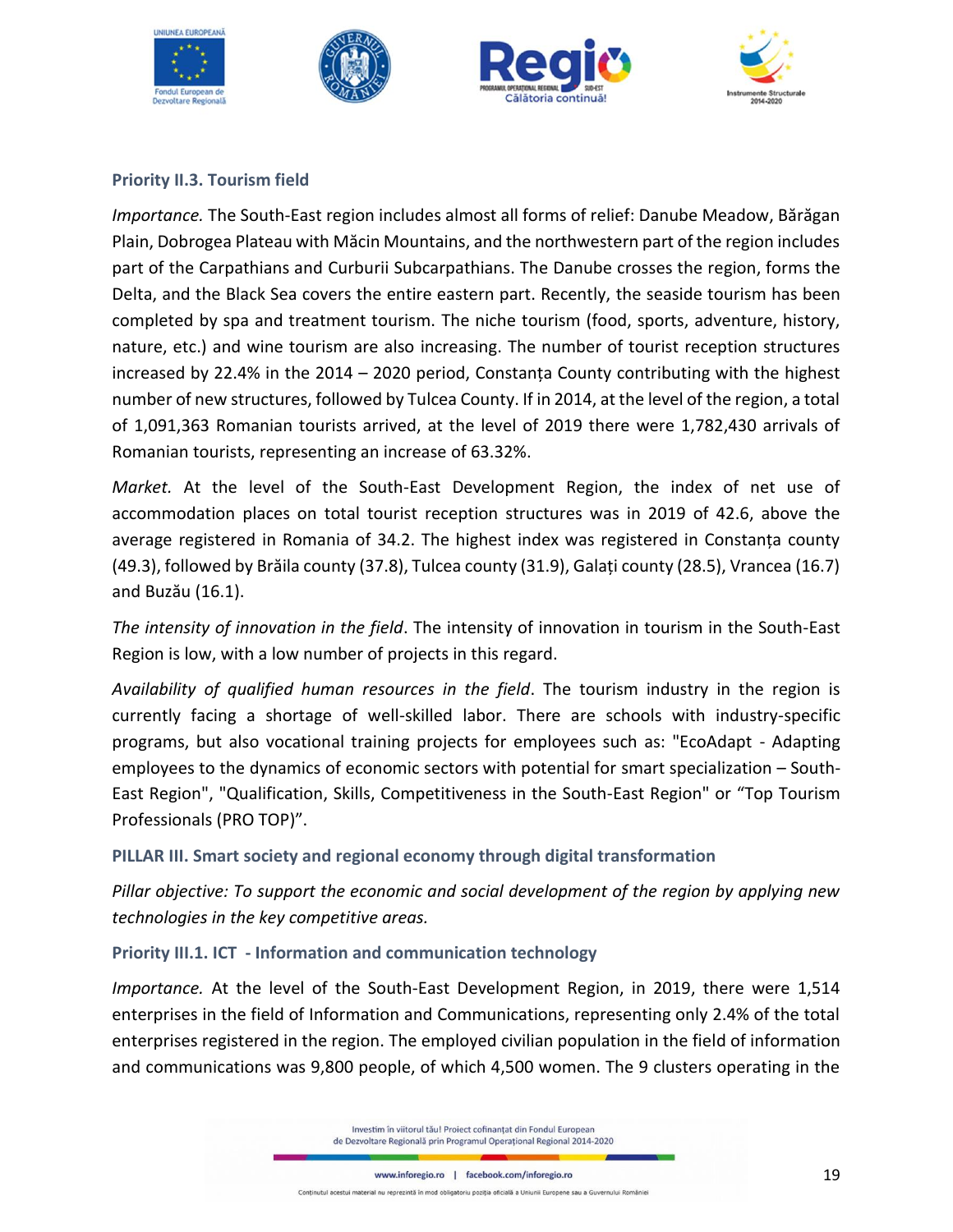



#### **Priority II.3. Tourism field**

*Importance.* The South-East region includes almost all forms of relief: Danube Meadow, Bărăgan Plain, Dobrogea Plateau with Măcin Mountains, and the northwestern part of the region includes part of the Carpathians and Curburii Subcarpathians. The Danube crosses the region, forms the Delta, and the Black Sea covers the entire eastern part. Recently, the seaside tourism has been completed by spa and treatment tourism. The niche tourism (food, sports, adventure, history, nature, etc.) and wine tourism are also increasing. The number of tourist reception structures increased by 22.4% in the 2014 – 2020 period, Constanța County contributing with the highest number of new structures, followed by Tulcea County. If in 2014, at the level of the region, a total of 1,091,363 Romanian tourists arrived, at the level of 2019 there were 1,782,430 arrivals of Romanian tourists, representing an increase of 63.32%.

*Market.* At the level of the South-East Development Region, the index of net use of accommodation places on total tourist reception structures was in 2019 of 42.6, above the average registered in Romania of 34.2. The highest index was registered in Constanța county (49.3), followed by Brăila county (37.8), Tulcea county (31.9), Galați county (28.5), Vrancea (16.7) and Buzău (16.1).

*The intensity of innovation in the field*. The intensity of innovation in tourism in the South-East Region is low, with a low number of projects in this regard.

*Availability of qualified human resources in the field*. The tourism industry in the region is currently facing a shortage of well-skilled labor. There are schools with industry-specific programs, but also vocational training projects for employees such as: "EcoAdapt - Adapting employees to the dynamics of economic sectors with potential for smart specialization – South-East Region", "Qualification, Skills, Competitiveness in the South-East Region" or "Top Tourism Professionals (PRO TOP)".

**PILLAR III. Smart society and regional economy through digital transformation**

*Pillar objective: To support the economic and social development of the region by applying new technologies in the key competitive areas.*

### **Priority III.1. ICT - Information and communication technology**

*Importance.* At the level of the South-East Development Region, in 2019, there were 1,514 enterprises in the field of Information and Communications, representing only 2.4% of the total enterprises registered in the region. The employed civilian population in the field of information and communications was 9,800 people, of which 4,500 women. The 9 clusters operating in the

> Investim în viitorul tău! Proiect cofinanțat din Fondul European de Dezvoltare Regională prin Programul Operațional Regional 2014-2020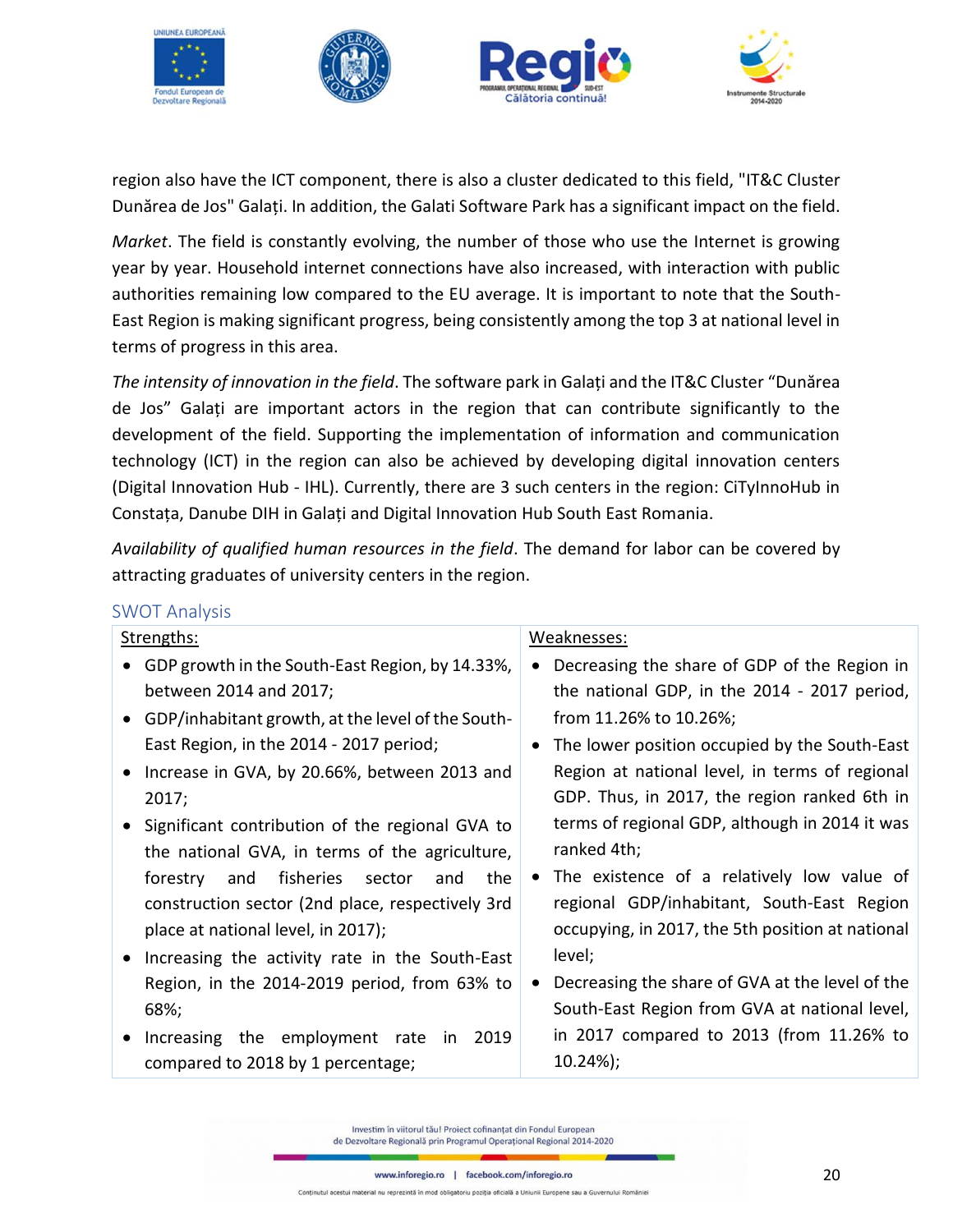

region also have the ICT component, there is also a cluster dedicated to this field, "IT&C Cluster Dunărea de Jos" Galați. In addition, the Galati Software Park has a significant impact on the field.

*Market*. The field is constantly evolving, the number of those who use the Internet is growing year by year. Household internet connections have also increased, with interaction with public authorities remaining low compared to the EU average. It is important to note that the South-East Region is making significant progress, being consistently among the top 3 at national level in terms of progress in this area.

*The intensity of innovation in the field*. The software park in Galați and the IT&C Cluster "Dunărea de Jos" Galați are important actors in the region that can contribute significantly to the development of the field. Supporting the implementation of information and communication technology (ICT) in the region can also be achieved by developing digital innovation centers (Digital Innovation Hub - IHL). Currently, there are 3 such centers in the region: CiTyInnoHub in Constața, Danube DIH in Galați and Digital Innovation Hub South East Romania.

*Availability of qualified human resources in the field*. The demand for labor can be covered by attracting graduates of university centers in the region.

### <span id="page-19-0"></span>SWOT Analysis

| Strengths:                                          | Weaknesses:                                      |  |
|-----------------------------------------------------|--------------------------------------------------|--|
| GDP growth in the South-East Region, by 14.33%,     | Decreasing the share of GDP of the Region in     |  |
| between 2014 and 2017;                              | the national GDP, in the 2014 - 2017 period,     |  |
| • GDP/inhabitant growth, at the level of the South- | from 11.26% to 10.26%;                           |  |
| East Region, in the 2014 - 2017 period;             | • The lower position occupied by the South-East  |  |
| • Increase in GVA, by 20.66%, between 2013 and      | Region at national level, in terms of regional   |  |
| 2017;                                               | GDP. Thus, in 2017, the region ranked 6th in     |  |
| • Significant contribution of the regional GVA to   | terms of regional GDP, although in 2014 it was   |  |
| the national GVA, in terms of the agriculture,      | ranked 4th;                                      |  |
| fisheries sector<br>forestry<br>and<br>the<br>and   | • The existence of a relatively low value of     |  |
| construction sector (2nd place, respectively 3rd    | regional GDP/inhabitant, South-East Region       |  |
| place at national level, in 2017);                  | occupying, in 2017, the 5th position at national |  |
| Increasing the activity rate in the South-East      | level;                                           |  |
| Region, in the 2014-2019 period, from 63% to        | Decreasing the share of GVA at the level of the  |  |
| 68%;                                                | South-East Region from GVA at national level,    |  |
| Increasing the employment rate in 2019              | in 2017 compared to 2013 (from 11.26% to         |  |
| compared to 2018 by 1 percentage;                   | $10.24\%$ );                                     |  |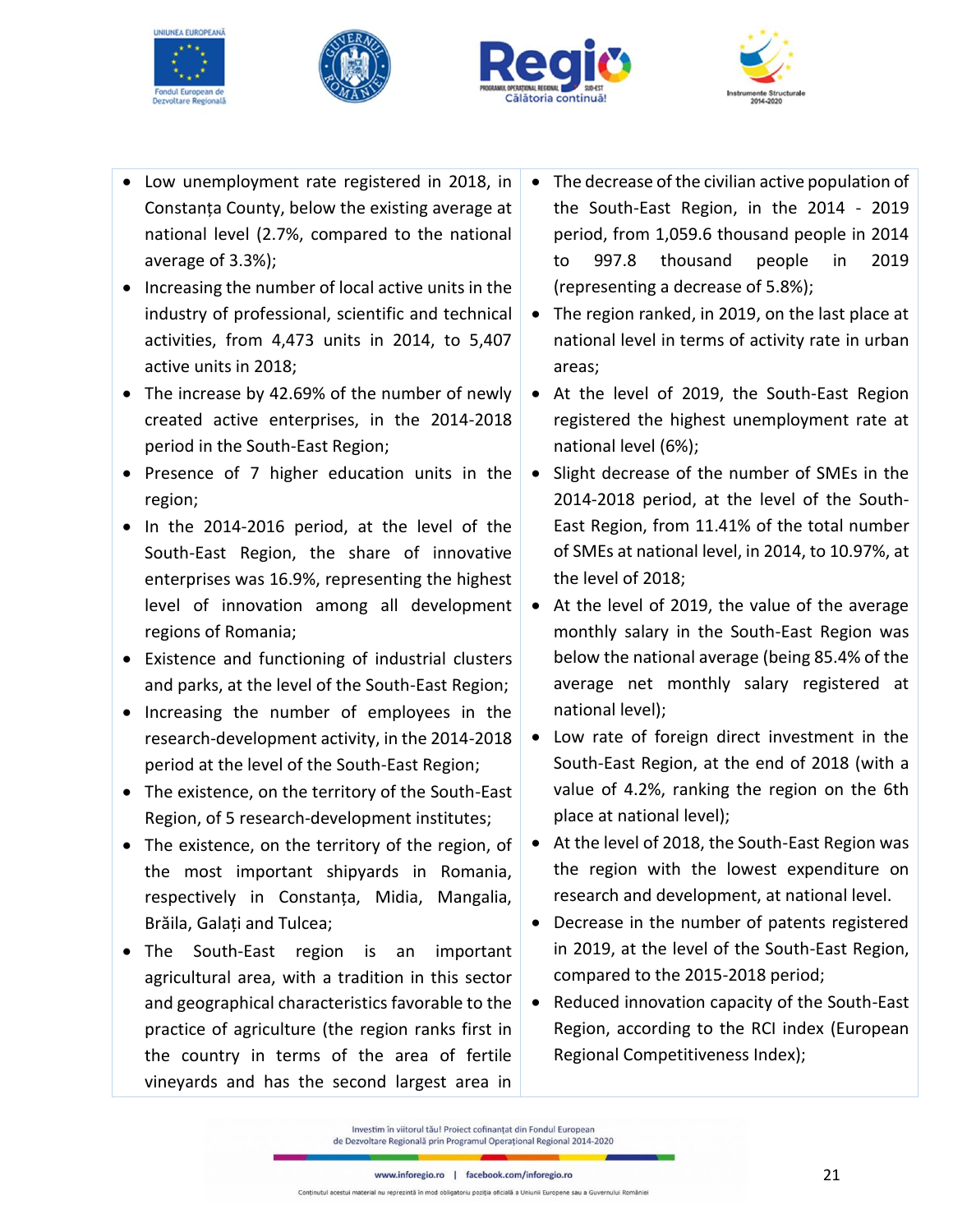







- Low unemployment rate registered in 2018, in Constanța County, below the existing average at national level (2.7%, compared to the national average of 3.3%);
- Increasing the number of local active units in the industry of professional, scientific and technical activities, from 4,473 units in 2014, to 5,407 active units in 2018;
- The increase by 42.69% of the number of newly created active enterprises, in the 2014-2018 period in the South-East Region;
- Presence of 7 higher education units in the region;
- In the 2014-2016 period, at the level of the South-East Region, the share of innovative enterprises was 16.9%, representing the highest level of innovation among all development regions of Romania;
- Existence and functioning of industrial clusters and parks, at the level of the South-East Region;
- Increasing the number of employees in the research-development activity, in the 2014-2018 period at the level of the South-East Region;
- The existence, on the territory of the South-East Region, of 5 research-development institutes;
- The existence, on the territory of the region, of the most important shipyards in Romania, respectively in Constanța, Midia, Mangalia, Brăila, Galați and Tulcea;
- The South-East region is an important agricultural area, with a tradition in this sector and geographical characteristics favorable to the practice of agriculture (the region ranks first in the country in terms of the area of fertile vineyards and has the second largest area in
- The decrease of the civilian active population of the South-East Region, in the 2014 - 2019 period, from 1,059.6 thousand people in 2014 to 997.8 thousand people in 2019 (representing a decrease of 5.8%);
- The region ranked, in 2019, on the last place at national level in terms of activity rate in urban areas;
- At the level of 2019, the South-East Region registered the highest unemployment rate at national level (6%);
- Slight decrease of the number of SMEs in the 2014-2018 period, at the level of the South-East Region, from 11.41% of the total number of SMEs at national level, in 2014, to 10.97%, at the level of 2018;
- At the level of 2019, the value of the average monthly salary in the South-East Region was below the national average (being 85.4% of the average net monthly salary registered at national level);
- Low rate of foreign direct investment in the South-East Region, at the end of 2018 (with a value of 4.2%, ranking the region on the 6th place at national level);
- At the level of 2018, the South-East Region was the region with the lowest expenditure on research and development, at national level.
- Decrease in the number of patents registered in 2019, at the level of the South-East Region, compared to the 2015-2018 period;
- Reduced innovation capacity of the South-East Region, according to the RCI index (European Regional Competitiveness Index);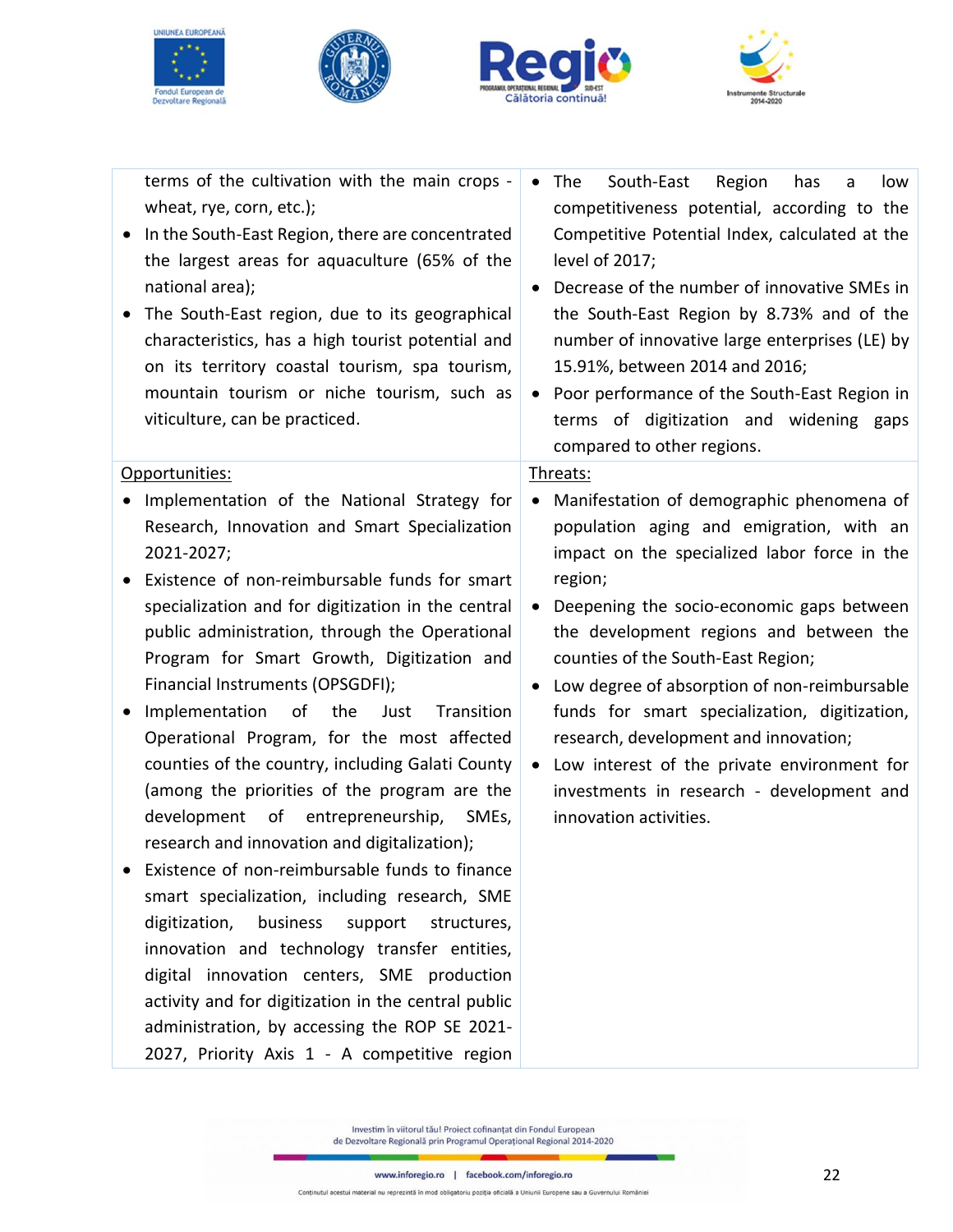







| South-East<br>Region<br>The<br>has<br>low<br>a<br>competitiveness potential, according to the<br>Competitive Potential Index, calculated at the<br>level of 2017;<br>Decrease of the number of innovative SMEs in<br>$\bullet$<br>the South-East Region by 8.73% and of the<br>number of innovative large enterprises (LE) by<br>15.91%, between 2014 and 2016;<br>• Poor performance of the South-East Region in<br>terms of digitization and widening gaps<br>compared to other regions. |
|--------------------------------------------------------------------------------------------------------------------------------------------------------------------------------------------------------------------------------------------------------------------------------------------------------------------------------------------------------------------------------------------------------------------------------------------------------------------------------------------|
| Threats:                                                                                                                                                                                                                                                                                                                                                                                                                                                                                   |
| Manifestation of demographic phenomena of<br>$\bullet$<br>population aging and emigration, with an                                                                                                                                                                                                                                                                                                                                                                                         |
| impact on the specialized labor force in the                                                                                                                                                                                                                                                                                                                                                                                                                                               |
| region;                                                                                                                                                                                                                                                                                                                                                                                                                                                                                    |
| Deepening the socio-economic gaps between<br>$\bullet$<br>the development regions and between the<br>counties of the South-East Region;<br>Low degree of absorption of non-reimbursable<br>$\bullet$<br>funds for smart specialization, digitization,<br>research, development and innovation;<br>Low interest of the private environment for<br>investments in research - development and<br>innovation activities.                                                                       |
|                                                                                                                                                                                                                                                                                                                                                                                                                                                                                            |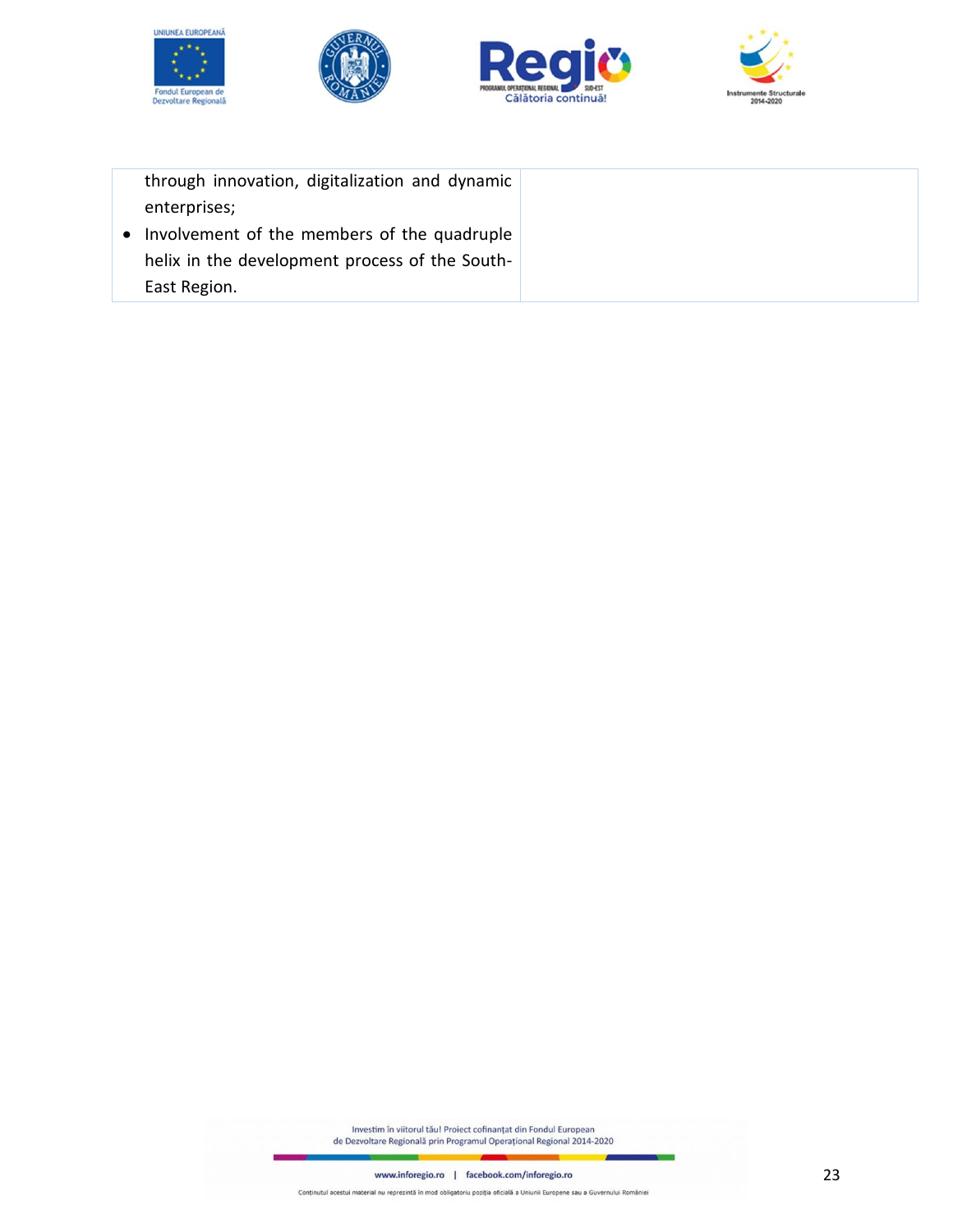







| through innovation, digitalization and dynamic |  |
|------------------------------------------------|--|
| enterprises;                                   |  |
| • Involvement of the members of the quadruple  |  |
| helix in the development process of the South- |  |
| East Region.                                   |  |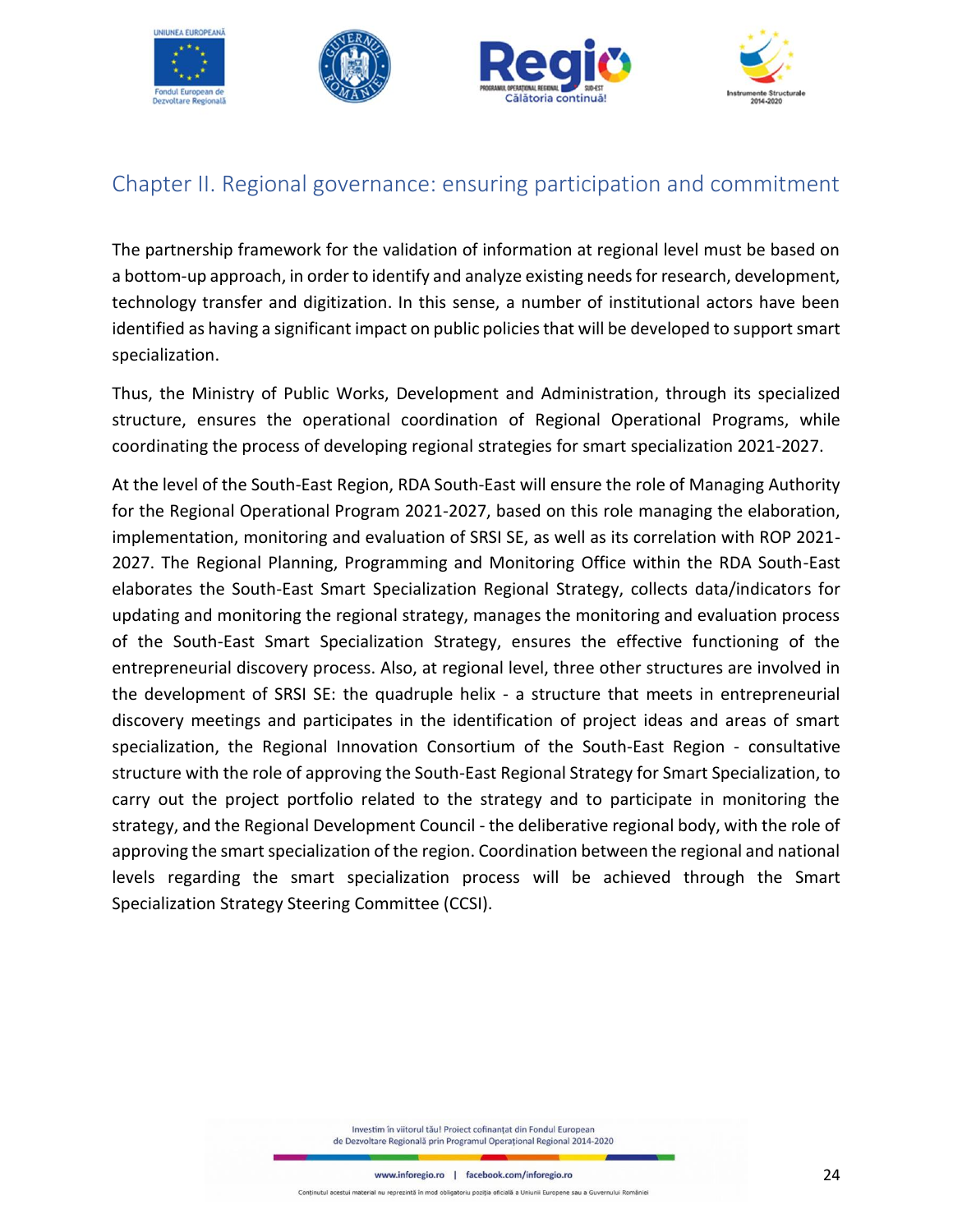

# <span id="page-23-0"></span>Chapter II. Regional governance: ensuring participation and commitment

The partnership framework for the validation of information at regional level must be based on a bottom-up approach, in order to identify and analyze existing needs for research, development, technology transfer and digitization. In this sense, a number of institutional actors have been identified as having a significant impact on public policies that will be developed to support smart specialization.

Thus, the Ministry of Public Works, Development and Administration, through its specialized structure, ensures the operational coordination of Regional Operational Programs, while coordinating the process of developing regional strategies for smart specialization 2021-2027.

At the level of the South-East Region, RDA South-East will ensure the role of Managing Authority for the Regional Operational Program 2021-2027, based on this role managing the elaboration, implementation, monitoring and evaluation of SRSI SE, as well as its correlation with ROP 2021- 2027. The Regional Planning, Programming and Monitoring Office within the RDA South-East elaborates the South-East Smart Specialization Regional Strategy, collects data/indicators for updating and monitoring the regional strategy, manages the monitoring and evaluation process of the South-East Smart Specialization Strategy, ensures the effective functioning of the entrepreneurial discovery process. Also, at regional level, three other structures are involved in the development of SRSI SE: the quadruple helix - a structure that meets in entrepreneurial discovery meetings and participates in the identification of project ideas and areas of smart specialization, the Regional Innovation Consortium of the South-East Region - consultative structure with the role of approving the South-East Regional Strategy for Smart Specialization, to carry out the project portfolio related to the strategy and to participate in monitoring the strategy, and the Regional Development Council - the deliberative regional body, with the role of approving the smart specialization of the region. Coordination between the regional and national levels regarding the smart specialization process will be achieved through the Smart Specialization Strategy Steering Committee (CCSI).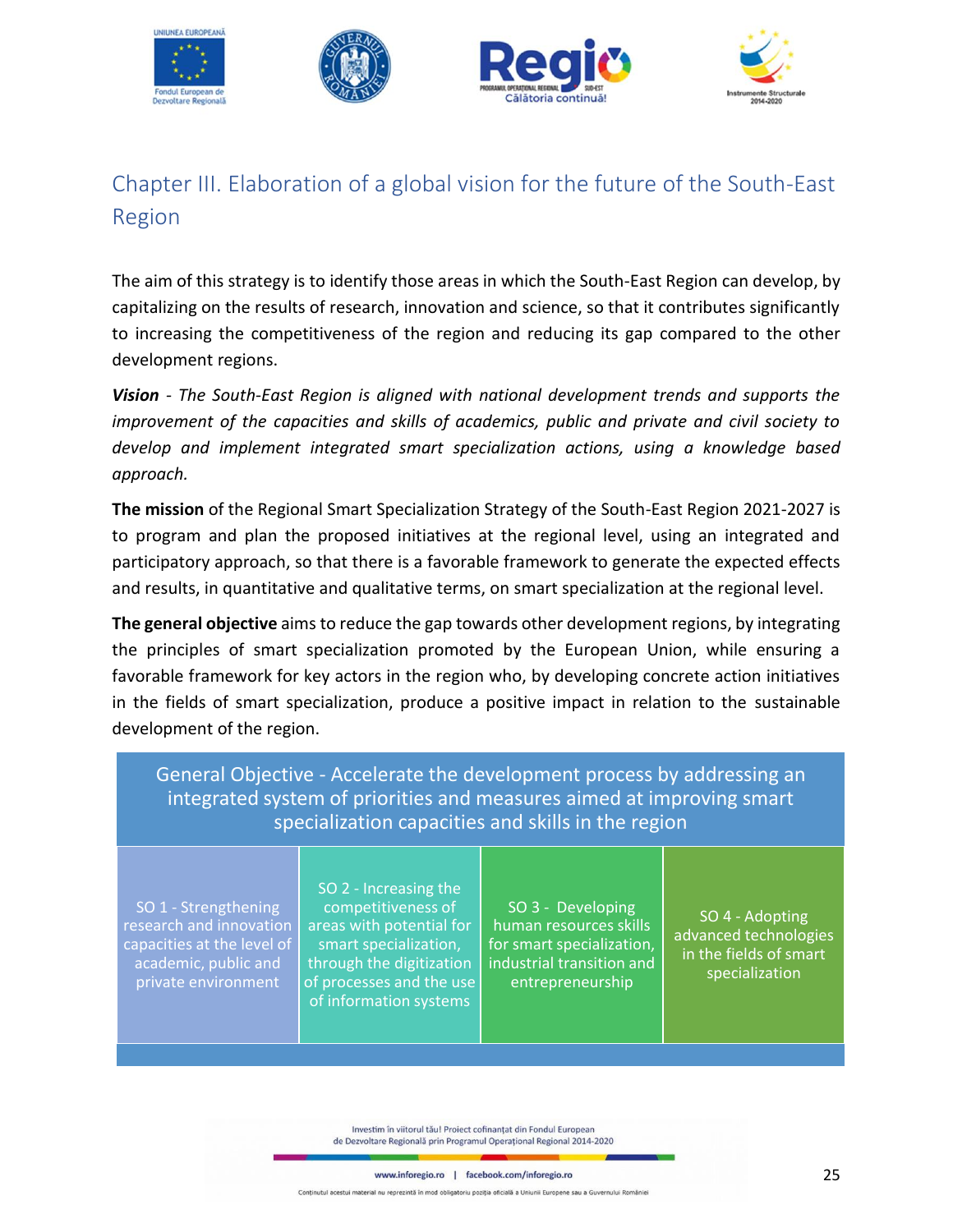

# <span id="page-24-0"></span>Chapter III. Elaboration of a global vision for the future of the South-East Region

The aim of this strategy is to identify those areas in which the South-East Region can develop, by capitalizing on the results of research, innovation and science, so that it contributes significantly to increasing the competitiveness of the region and reducing its gap compared to the other development regions.

*Vision - The South-East Region is aligned with national development trends and supports the improvement of the capacities and skills of academics, public and private and civil society to develop and implement integrated smart specialization actions, using a knowledge based approach.*

**The mission** of the Regional Smart Specialization Strategy of the South-East Region 2021-2027 is to program and plan the proposed initiatives at the regional level, using an integrated and participatory approach, so that there is a favorable framework to generate the expected effects and results, in quantitative and qualitative terms, on smart specialization at the regional level.

**The general objective** aims to reduce the gap towards other development regions, by integrating the principles of smart specialization promoted by the European Union, while ensuring a favorable framework for key actors in the region who, by developing concrete action initiatives in the fields of smart specialization, produce a positive impact in relation to the sustainable development of the region.

General Objective - Accelerate the development process by addressing an integrated system of priorities and measures aimed at improving smart specialization capacities and skills in the region SO 1 - Strengthening SO 2 - Increasing the competitiveness of SO 3 - Developing SO 4 - Adopting

research and innovation capacities at the level of academic, public and private environment

areas with potential for smart specialization, through the digitization of processes and the use of information systems

human resources skills for smart specialization. industrial transition and entrepreneurship

advanced technologies in the fields of smart specialization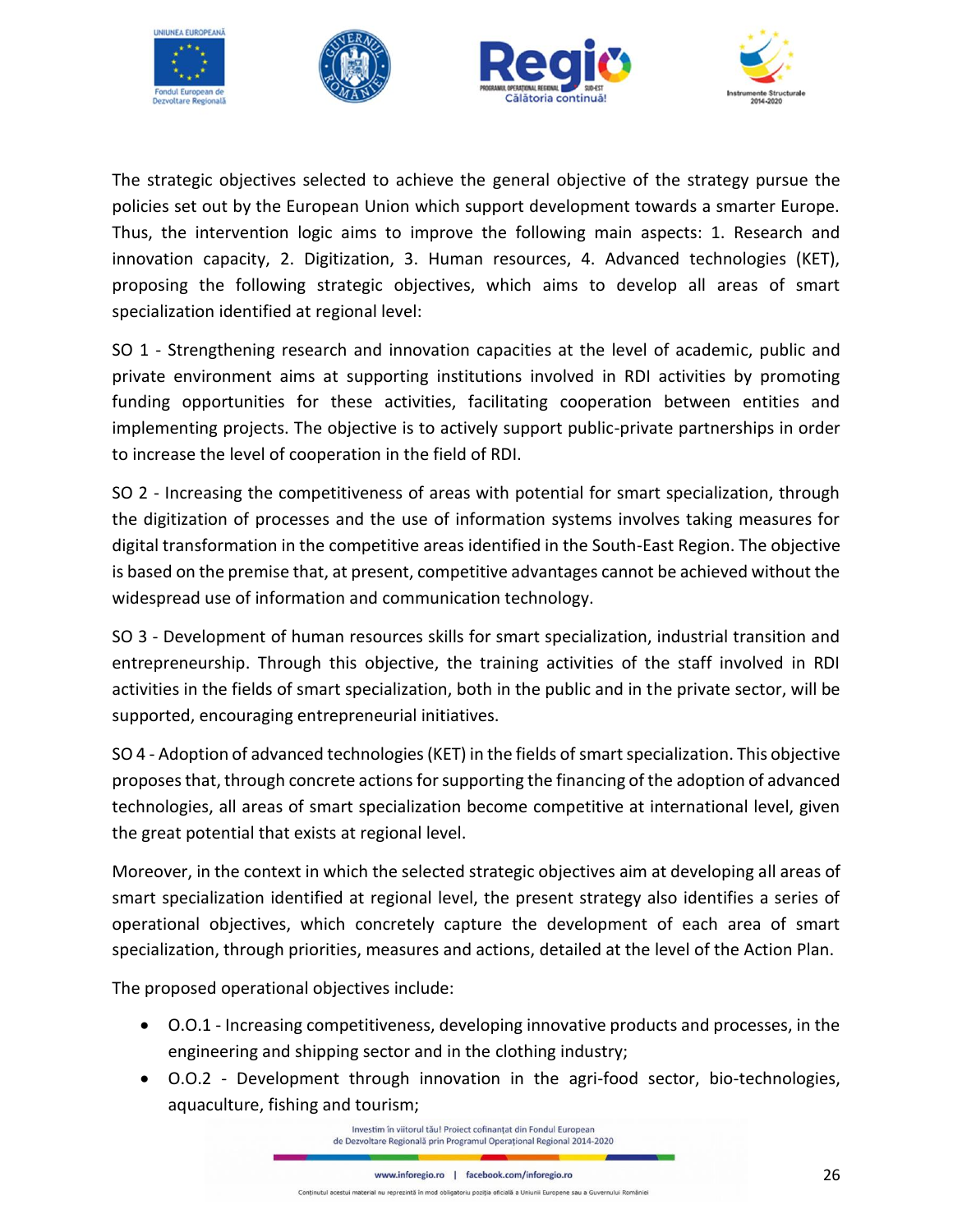

The strategic objectives selected to achieve the general objective of the strategy pursue the policies set out by the European Union which support development towards a smarter Europe. Thus, the intervention logic aims to improve the following main aspects: 1. Research and innovation capacity, 2. Digitization, 3. Human resources, 4. Advanced technologies (KET), proposing the following strategic objectives, which aims to develop all areas of smart specialization identified at regional level:

SO 1 - Strengthening research and innovation capacities at the level of academic, public and private environment aims at supporting institutions involved in RDI activities by promoting funding opportunities for these activities, facilitating cooperation between entities and implementing projects. The objective is to actively support public-private partnerships in order to increase the level of cooperation in the field of RDI.

SO 2 - Increasing the competitiveness of areas with potential for smart specialization, through the digitization of processes and the use of information systems involves taking measures for digital transformation in the competitive areas identified in the South-East Region. The objective is based on the premise that, at present, competitive advantages cannot be achieved without the widespread use of information and communication technology.

SO 3 - Development of human resources skills for smart specialization, industrial transition and entrepreneurship. Through this objective, the training activities of the staff involved in RDI activities in the fields of smart specialization, both in the public and in the private sector, will be supported, encouraging entrepreneurial initiatives.

SO 4 - Adoption of advanced technologies (KET) in the fields of smartspecialization. This objective proposes that, through concrete actions for supporting the financing of the adoption of advanced technologies, all areas of smart specialization become competitive at international level, given the great potential that exists at regional level.

Moreover, in the context in which the selected strategic objectives aim at developing all areas of smart specialization identified at regional level, the present strategy also identifies a series of operational objectives, which concretely capture the development of each area of smart specialization, through priorities, measures and actions, detailed at the level of the Action Plan.

The proposed operational objectives include:

- O.O.1 Increasing competitiveness, developing innovative products and processes, in the engineering and shipping sector and in the clothing industry;
- O.O.2 Development through innovation in the agri-food sector, bio-technologies, aquaculture, fishing and tourism;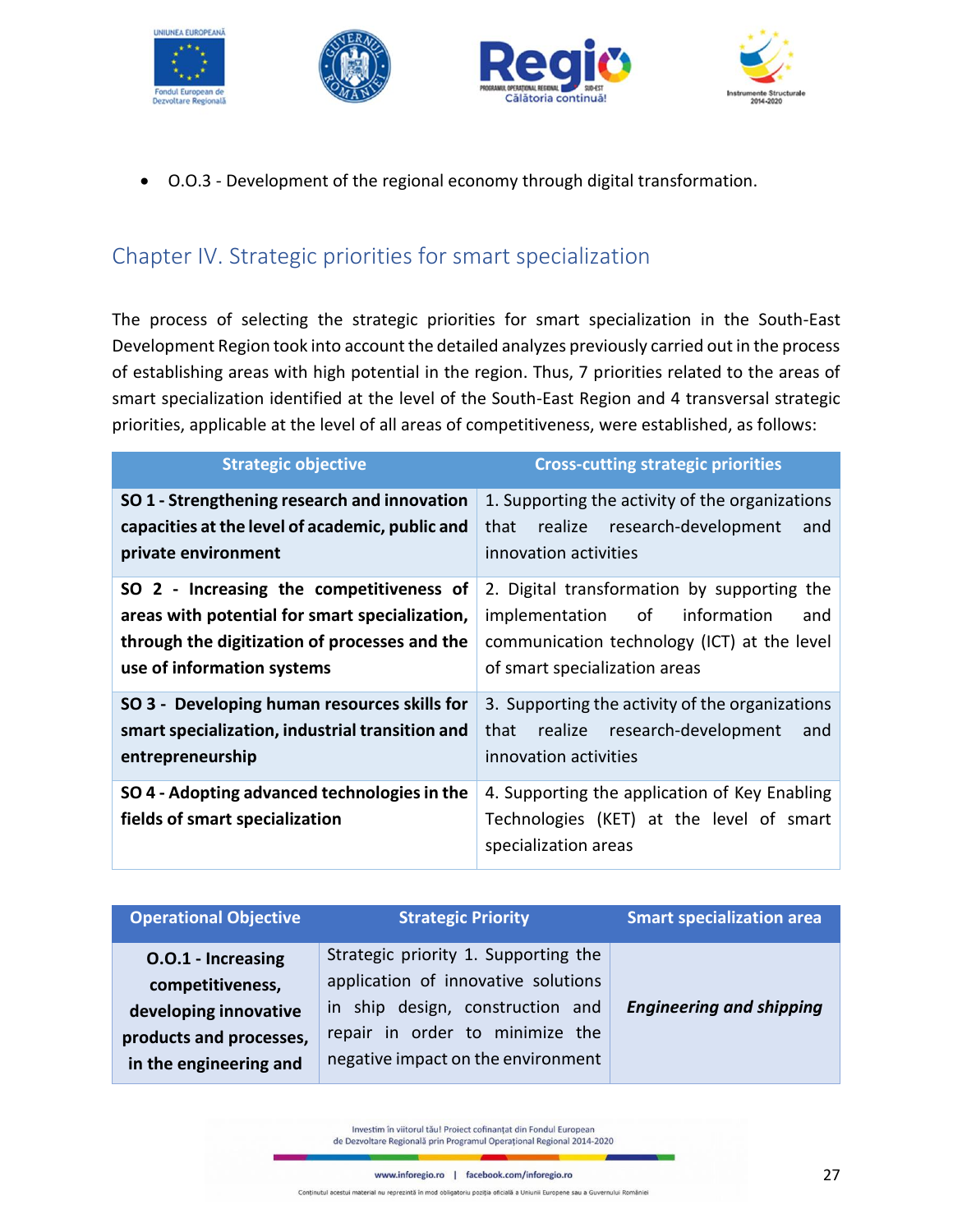







• O.O.3 - Development of the regional economy through digital transformation.

# <span id="page-26-0"></span>Chapter IV. Strategic priorities for smart specialization

The process of selecting the strategic priorities for smart specialization in the South-East Development Region took into account the detailed analyzes previously carried out in the process of establishing areas with high potential in the region. Thus, 7 priorities related to the areas of smart specialization identified at the level of the South-East Region and 4 transversal strategic priorities, applicable at the level of all areas of competitiveness, were established, as follows:

| <b>Strategic objective</b>                                                                                                                                                | <b>Cross-cutting strategic priorities</b>                                                                                                                           |
|---------------------------------------------------------------------------------------------------------------------------------------------------------------------------|---------------------------------------------------------------------------------------------------------------------------------------------------------------------|
| SO 1 - Strengthening research and innovation<br>capacities at the level of academic, public and<br>private environment                                                    | 1. Supporting the activity of the organizations<br>realize research-development<br>that<br>and<br>innovation activities                                             |
| SO 2 - Increasing the competitiveness of<br>areas with potential for smart specialization,<br>through the digitization of processes and the<br>use of information systems | 2. Digital transformation by supporting the<br>implementation of information<br>and<br>communication technology (ICT) at the level<br>of smart specialization areas |
| SO 3 - Developing human resources skills for<br>smart specialization, industrial transition and<br>entrepreneurship                                                       | 3. Supporting the activity of the organizations<br>realize research-development<br>that<br>and<br>innovation activities                                             |
| SO 4 - Adopting advanced technologies in the<br>fields of smart specialization                                                                                            | 4. Supporting the application of Key Enabling<br>Technologies (KET) at the level of smart<br>specialization areas                                                   |

| <b>Operational Objective</b><br>Strategic Priority |                                      | <b>Smart specialization area</b> |
|----------------------------------------------------|--------------------------------------|----------------------------------|
| O.O.1 - Increasing                                 | Strategic priority 1. Supporting the |                                  |
| competitiveness,                                   | application of innovative solutions  |                                  |
| developing innovative                              | in ship design, construction and     | <b>Engineering and shipping</b>  |
| products and processes,                            | repair in order to minimize the      |                                  |
| in the engineering and                             | negative impact on the environment   |                                  |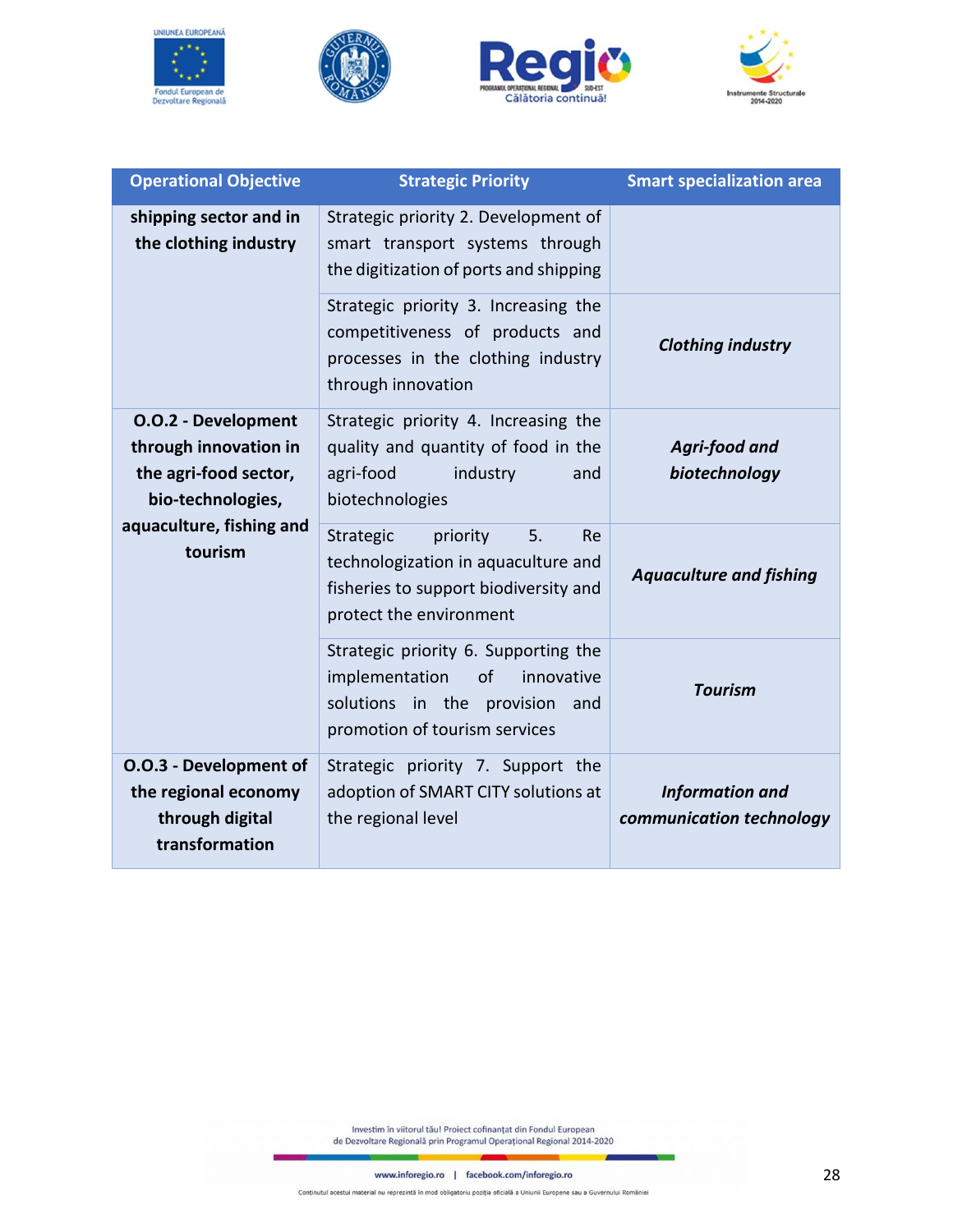







| <b>Operational Objective</b><br><b>Strategic Priority</b>                                         |                                                                                                                                               | <b>Smart specialization area</b>                   |  |
|---------------------------------------------------------------------------------------------------|-----------------------------------------------------------------------------------------------------------------------------------------------|----------------------------------------------------|--|
| shipping sector and in<br>the clothing industry                                                   | Strategic priority 2. Development of<br>smart transport systems through<br>the digitization of ports and shipping                             |                                                    |  |
|                                                                                                   | Strategic priority 3. Increasing the<br>competitiveness of products and<br>processes in the clothing industry<br>through innovation           | <b>Clothing industry</b>                           |  |
| <b>O.O.2 - Development</b><br>through innovation in<br>the agri-food sector,<br>bio-technologies, | Strategic priority 4. Increasing the<br>quality and quantity of food in the<br>agri-food<br>industry<br>and<br>biotechnologies                | Agri-food and<br>biotechnology                     |  |
| aquaculture, fishing and<br>tourism                                                               | Strategic<br>priority<br>5.<br>Re<br>technologization in aquaculture and<br>fisheries to support biodiversity and<br>protect the environment  | <b>Aquaculture and fishing</b>                     |  |
|                                                                                                   | Strategic priority 6. Supporting the<br>implementation<br>of<br>innovative<br>solutions in the provision and<br>promotion of tourism services | <b>Tourism</b>                                     |  |
| O.O.3 - Development of<br>the regional economy<br>through digital<br>transformation               | Strategic priority 7. Support the<br>adoption of SMART CITY solutions at<br>the regional level                                                | <b>Information and</b><br>communication technology |  |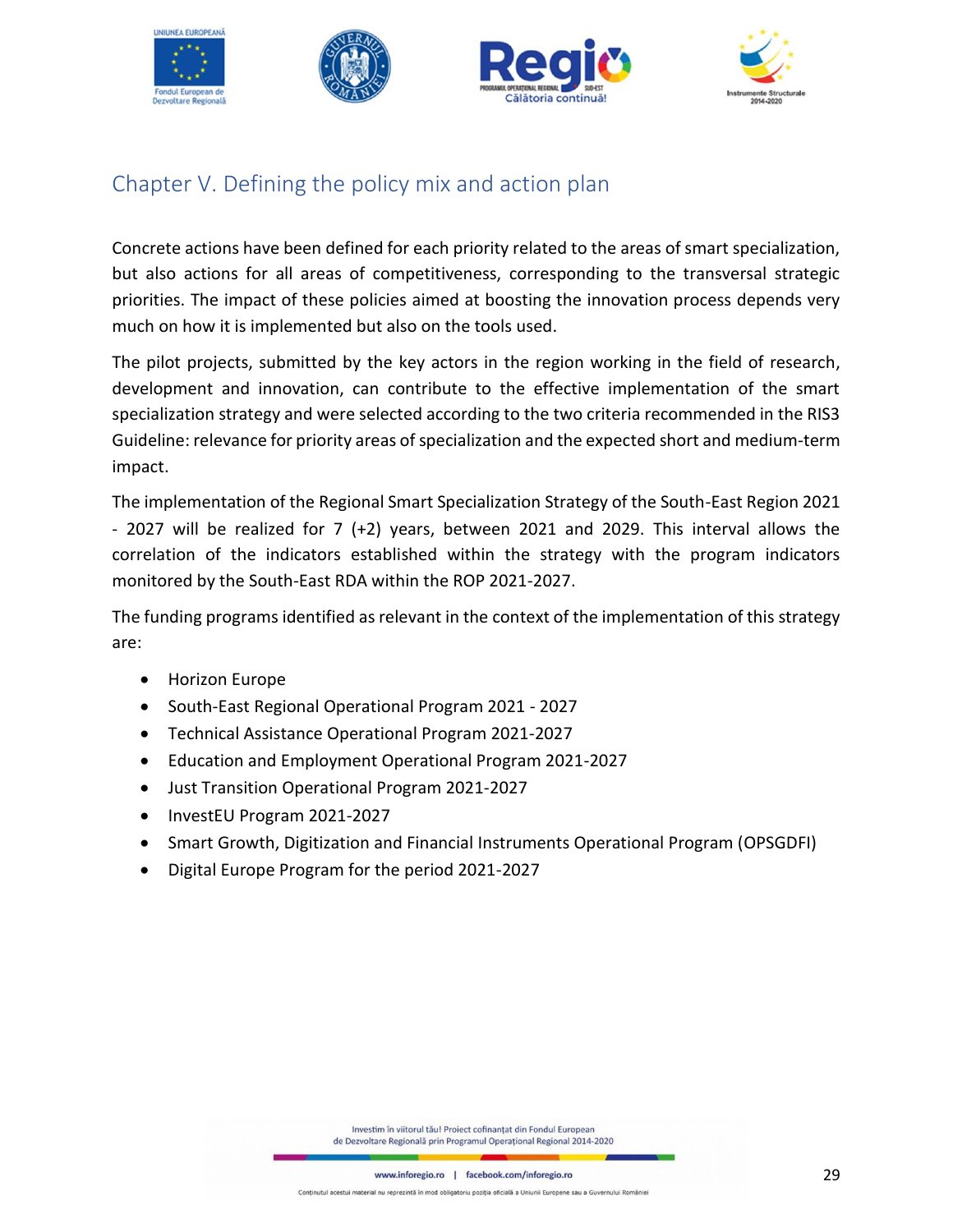



# <span id="page-28-0"></span>Chapter V. Defining the policy mix and action plan

Concrete actions have been defined for each priority related to the areas of smart specialization, but also actions for all areas of competitiveness, corresponding to the transversal strategic priorities. The impact of these policies aimed at boosting the innovation process depends very much on how it is implemented but also on the tools used.

The pilot projects, submitted by the key actors in the region working in the field of research, development and innovation, can contribute to the effective implementation of the smart specialization strategy and were selected according to the two criteria recommended in the RIS3 Guideline: relevance for priority areas of specialization and the expected short and medium-term impact.

The implementation of the Regional Smart Specialization Strategy of the South-East Region 2021 - 2027 will be realized for 7 (+2) years, between 2021 and 2029. This interval allows the correlation of the indicators established within the strategy with the program indicators monitored by the South-East RDA within the ROP 2021-2027.

The funding programs identified as relevant in the context of the implementation of this strategy are:

- Horizon Europe
- South-East Regional Operational Program 2021 2027
- Technical Assistance Operational Program 2021-2027
- Education and Employment Operational Program 2021-2027
- Just Transition Operational Program 2021-2027
- InvestEU Program 2021-2027
- Smart Growth, Digitization and Financial Instruments Operational Program (OPSGDFI)
- Digital Europe Program for the period 2021-2027